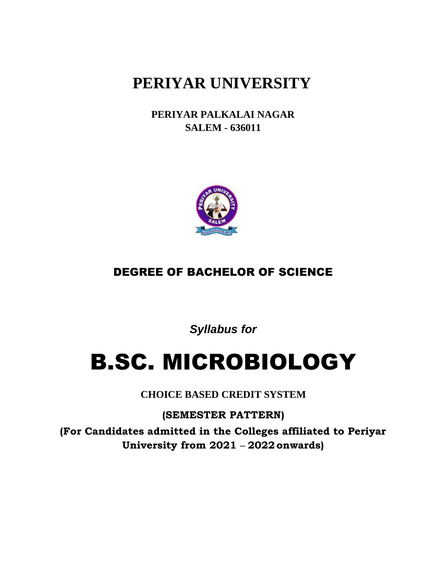# **PERIYAR UNIVERSITY**

**PERIYAR PALKALAI NAGAR SALEM - 636011**



# DEGREE OF BACHELOR OF SCIENCE

*Syllabus for*

# B.SC. MICROBIOLOGY

**CHOICE BASED CREDIT SYSTEM**

**(SEMESTER PATTERN) (For Candidates admitted in the Colleges affiliated to Periyar University from 2021 – 2022onwards)**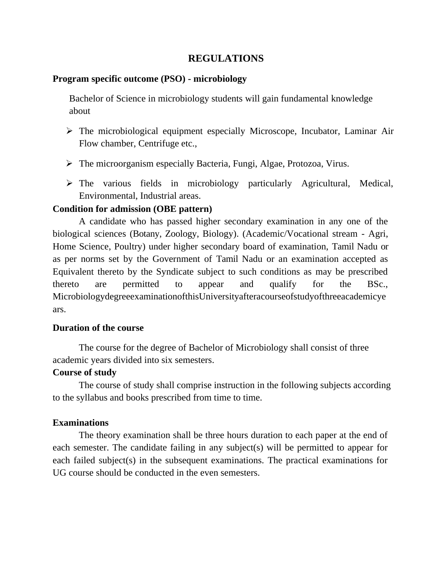# **REGULATIONS**

### **Program specific outcome (PSO) - microbiology**

Bachelor of Science in microbiology students will gain fundamental knowledge about

- ➢ The microbiological equipment especially Microscope, Incubator, Laminar Air Flow chamber, Centrifuge etc.,
- ➢ The microorganism especially Bacteria, Fungi, Algae, Protozoa, Virus.
- ➢ The various fields in microbiology particularly Agricultural, Medical, Environmental, Industrial areas.

# **Condition for admission (OBE pattern)**

A candidate who has passed higher secondary examination in any one of the biological sciences (Botany, Zoology, Biology). (Academic/Vocational stream - Agri, Home Science, Poultry) under higher secondary board of examination, Tamil Nadu or as per norms set by the Government of Tamil Nadu or an examination accepted as Equivalent thereto by the Syndicate subject to such conditions as may be prescribed thereto are permitted to appear and qualify for the BSc., MicrobiologydegreeexaminationofthisUniversityafteracourseofstudyofthreeacademicye ars.

# **Duration of the course**

The course for the degree of Bachelor of Microbiology shall consist of three academic years divided into six semesters.

# **Course of study**

The course of study shall comprise instruction in the following subjects according to the syllabus and books prescribed from time to time.

# **Examinations**

The theory examination shall be three hours duration to each paper at the end of each semester. The candidate failing in any subject(s) will be permitted to appear for each failed subject(s) in the subsequent examinations. The practical examinations for UG course should be conducted in the even semesters.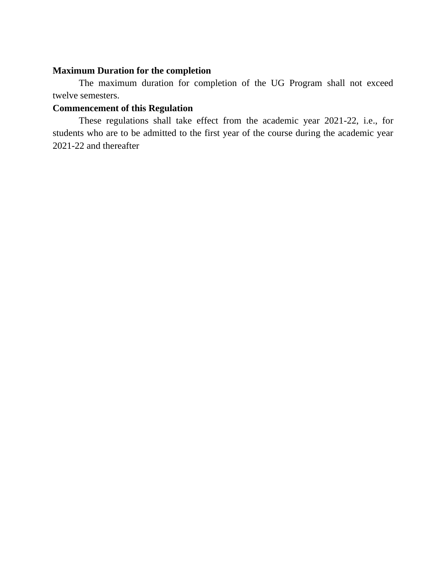### **Maximum Duration for the completion**

The maximum duration for completion of the UG Program shall not exceed twelve semesters.

# **Commencement of this Regulation**

These regulations shall take effect from the academic year 2021-22, i.e., for students who are to be admitted to the first year of the course during the academic year 2021-22 and thereafter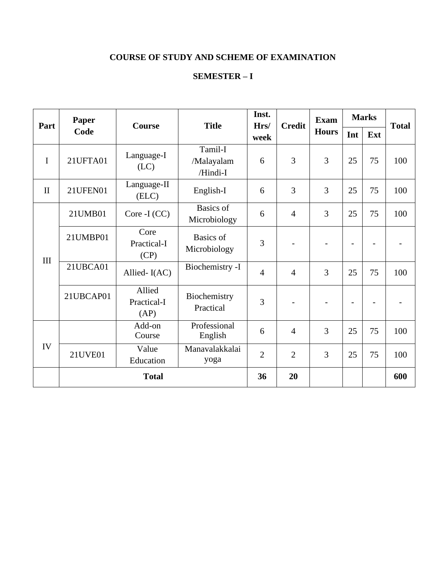# **COURSE OF STUDY AND SCHEME OF EXAMINATION**

# **SEMESTER – I**

| Part         | Paper<br>Code | <b>Course</b>                 | <b>Title</b>                      | Inst.<br>Hrs/  | <b>Credit</b>  | <b>Exam</b>  | <b>Marks</b> |     | <b>Total</b> |
|--------------|---------------|-------------------------------|-----------------------------------|----------------|----------------|--------------|--------------|-----|--------------|
|              |               |                               |                                   | week           |                | <b>Hours</b> | Int          | Ext |              |
| $\mathbf I$  | 21UFTA01      | Language-I<br>(LC)            | Tamil-I<br>/Malayalam<br>/Hindi-I | 6              | 3              | 3            | 25           | 75  | 100          |
| $\mathbf{I}$ | 21UFEN01      | Language-II<br>(ELC)          | English-I                         | 6              | 3              | 3            | 25           | 75  | 100          |
| III          | 21UMB01       | $Core-I(CC)$                  | Basics of<br>Microbiology         | 6              | $\overline{4}$ | 3            | 25           | 75  | 100          |
|              | 21UMBP01      | Core<br>Practical-I<br>(CP)   | <b>Basics</b> of<br>Microbiology  | 3              |                |              |              |     |              |
|              | 21UBCA01      | Allied-I(AC)                  | Biochemistry -I                   | $\overline{4}$ | $\overline{4}$ | 3            | 25           | 75  | 100          |
|              | 21UBCAP01     | Allied<br>Practical-I<br>(AP) | Biochemistry<br>Practical         | 3              |                |              |              |     |              |
| IV           |               | Add-on<br>Course              | Professional<br>English           | 6              | $\overline{4}$ | 3            | 25           | 75  | 100          |
|              | 21UVE01       | Value<br>Education            | Manavalakkalai<br>yoga            | $\overline{2}$ | $\overline{2}$ | 3            | 25           | 75  | 100          |
|              | <b>Total</b>  |                               |                                   |                | 20             |              |              |     | 600          |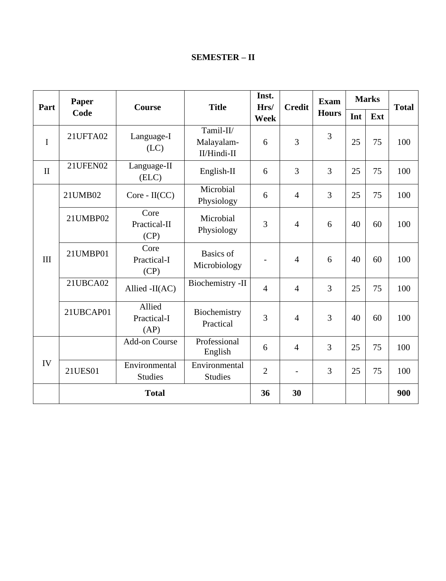# **SEMESTER – II**

| Part         | Paper        | <b>Course</b>                   | <b>Title</b>                           | Inst.<br>Hrs/  | <b>Credit</b>            | <b>Exam</b>  | <b>Marks</b> |     | <b>Total</b> |
|--------------|--------------|---------------------------------|----------------------------------------|----------------|--------------------------|--------------|--------------|-----|--------------|
|              | Code         |                                 |                                        | <b>Week</b>    |                          | <b>Hours</b> | Int          | Ext |              |
| I            | 21UFTA02     | Language-I<br>(LC)              | Tamil-II/<br>Malayalam-<br>II/Hindi-II | 6              | 3                        | 3            | 25           | 75  | 100          |
| $\mathbf{I}$ | 21UFEN02     | Language-II<br>(ELC)            | English-II                             | 6              | 3                        | 3            | 25           | 75  | 100          |
|              | 21UMB02      | Core - II(CC)                   | Microbial<br>Physiology                | 6              | $\overline{4}$           | 3            | 25           | 75  | 100          |
|              | 21UMBP02     | Core<br>Practical-II<br>(CP)    | Microbial<br>Physiology                | 3              | $\overline{4}$           | 6            | 40           | 60  | 100          |
| III          | 21UMBP01     | Core<br>Practical-I<br>(CP)     | <b>Basics</b> of<br>Microbiology       |                | $\overline{4}$           | 6            | 40           | 60  | 100          |
|              | 21UBCA02     | Allied -II(AC)                  | Biochemistry -II                       | $\overline{4}$ | $\overline{4}$           | 3            | 25           | 75  | 100          |
|              | 21UBCAP01    | Allied<br>Practical-I<br>(AP)   | Biochemistry<br>Practical              | 3              | $\overline{4}$           | 3            | 40           | 60  | 100          |
|              |              | <b>Add-on Course</b>            | Professional<br>English                | 6              | $\overline{4}$           | 3            | 25           | 75  | 100          |
| IV           | 21UES01      | Environmental<br><b>Studies</b> | Environmental<br><b>Studies</b>        | $\overline{2}$ | $\overline{\phantom{0}}$ | 3            | 25           | 75  | 100          |
|              | <b>Total</b> |                                 |                                        |                | 30                       |              |              |     | 900          |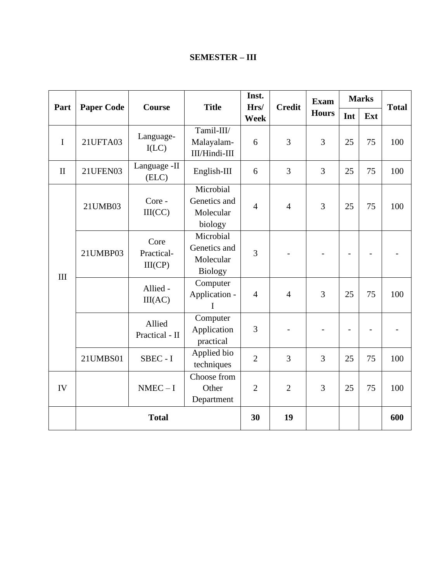| Part         |                   | Course                        | <b>Title</b>                                             | Inst.<br>Hrs/  | <b>Credit</b>  | <b>Exam</b>  | <b>Marks</b> |     | <b>Total</b> |
|--------------|-------------------|-------------------------------|----------------------------------------------------------|----------------|----------------|--------------|--------------|-----|--------------|
|              | <b>Paper Code</b> |                               |                                                          | <b>Week</b>    |                | <b>Hours</b> | Int          | Ext |              |
| $\mathbf{I}$ | 21UFTA03          | Language-<br>I(LC)            | Tamil-III/<br>Malayalam-<br>III/Hindi-III                | 6              | 3              | 3            | 25           | 75  | 100          |
| $\mathbf{I}$ | 21UFEN03          | Language -II<br>(ELC)         | English-III                                              | 6              | 3              | 3            | 25           | 75  | 100          |
| III          | 21UMB03           | Core -<br>III(CC)             | Microbial<br>Genetics and<br>Molecular<br>biology        | $\overline{4}$ | $\overline{4}$ | 3            | 25           | 75  | 100          |
|              | 21UMBP03          | Core<br>Practical-<br>III(CP) | Microbial<br>Genetics and<br>Molecular<br><b>Biology</b> | 3              |                |              |              |     |              |
|              |                   | Allied -<br>III(AC)           | Computer<br>Application -<br>I                           | $\overline{4}$ | $\overline{4}$ | 3            | 25           | 75  | 100          |
|              |                   | Allied<br>Practical - II      | Computer<br>Application<br>practical                     | 3              |                |              |              |     |              |
|              | 21UMBS01          | SBEC - I                      | Applied bio<br>techniques                                | $\overline{2}$ | 3              | 3            | 25           | 75  | 100          |
| IV           |                   | $NMEC-I$                      | Choose from<br>Other<br>Department                       | $\overline{2}$ | $\overline{2}$ | 3            | 25           | 75  | 100          |
|              |                   | <b>Total</b>                  |                                                          | 30             | 19             |              |              |     | 600          |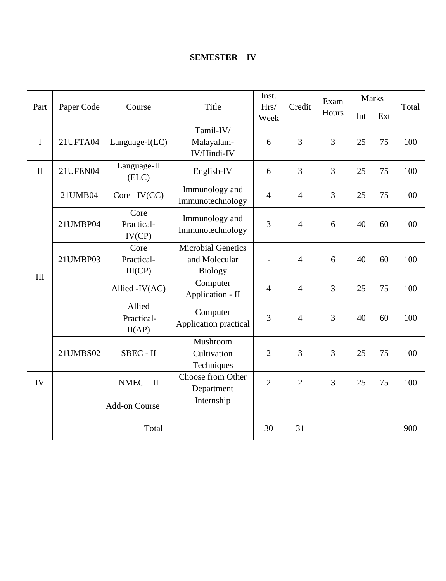# **SEMESTER – IV**

|              |            |                                | Title                                                        | Inst.          | Hrs/<br>Credit | Exam  | <b>Marks</b> |     | Total |
|--------------|------------|--------------------------------|--------------------------------------------------------------|----------------|----------------|-------|--------------|-----|-------|
| Part         | Paper Code | Course                         |                                                              | Week           |                | Hours | Int          | Ext |       |
|              |            |                                | Tamil-IV/                                                    |                |                |       |              |     |       |
| $\mathbf I$  | 21UFTA04   | Language-I(LC)                 | Malayalam-<br>IV/Hindi-IV                                    | 6              | 3              | 3     | 25           | 75  | 100   |
| $\mathbf{I}$ | 21UFEN04   | Language-II<br>(ELC)           | English-IV                                                   | 6              | 3              | 3     | 25           | 75  | 100   |
|              | 21UMB04    | $Core$ – $IV(CC)$              | Immunology and<br>Immunotechnology                           | $\overline{4}$ | $\overline{4}$ | 3     | 25           | 75  | 100   |
|              | 21UMBP04   | Core<br>Practical-<br>IV(CP)   | Immunology and<br>Immunotechnology                           | 3              | $\overline{4}$ | 6     | 40           | 60  | 100   |
| III          | 21UMBP03   | Core<br>Practical-<br>III(CP)  | <b>Microbial Genetics</b><br>and Molecular<br><b>Biology</b> |                | $\overline{4}$ | 6     | 40           | 60  | 100   |
|              |            | Allied -IV(AC)                 | Computer<br>Application - II                                 | $\overline{4}$ | $\overline{4}$ | 3     | 25           | 75  | 100   |
|              |            | Allied<br>Practical-<br>II(AP) | Computer<br>Application practical                            | 3              | $\overline{4}$ | 3     | 40           | 60  | 100   |
|              | 21UMBS02   | SBEC - II                      | Mushroom<br>Cultivation<br>Techniques                        | $\overline{2}$ | 3              | 3     | 25           | 75  | 100   |
| IV           |            | $NMEC - II$                    | Choose from Other<br>Department                              | $\overline{2}$ | $\overline{2}$ | 3     | 25           | 75  | 100   |
|              |            | <b>Add-on Course</b>           | Internship                                                   |                |                |       |              |     |       |
|              | Total      |                                |                                                              |                | 31             |       |              |     | 900   |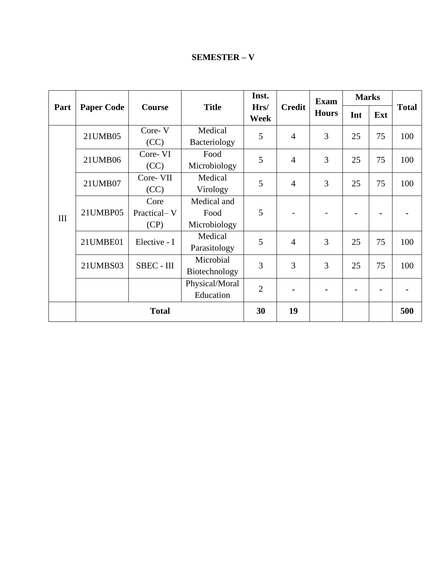# **SEMESTER – V**

|      |                   |                             |                                     | Inst.          |                | <b>Exam</b>  | <b>Marks</b>   |     |              |
|------|-------------------|-----------------------------|-------------------------------------|----------------|----------------|--------------|----------------|-----|--------------|
| Part | <b>Paper Code</b> | Course                      | <b>Title</b>                        | Hrs/<br>Week   | <b>Credit</b>  | <b>Hours</b> | Int            | Ext | <b>Total</b> |
|      | 21UMB05           | Core-V<br>(CC)              | Medical<br>Bacteriology             | 5              | $\overline{4}$ | 3            | 25             | 75  | 100          |
| III  | 21UMB06           | Core-VI<br>(CC)             | Food<br>Microbiology                | 5              | $\overline{4}$ | 3            | 25             | 75  | 100          |
|      | 21UMB07           | Core-VII<br>(CC)            | Medical<br>Virology                 | 5              | $\overline{4}$ | 3            | 25             | 75  | 100          |
|      | 21UMBP05          | Core<br>Practical-V<br>(CP) | Medical and<br>Food<br>Microbiology | 5              |                |              |                |     |              |
|      | 21UMBE01          | Elective - I                | Medical<br>Parasitology             | 5              | $\overline{4}$ | 3            | 25             | 75  | 100          |
|      | 21UMBS03          | SBEC - III                  | Microbial<br>Biotechnology          | 3              | 3              | 3            | 25             | 75  | 100          |
|      |                   |                             | Physical/Moral<br>Education         | $\overline{2}$ |                |              | $\blacksquare$ |     |              |
|      | <b>Total</b>      |                             |                                     | 30             | 19             |              |                |     | 500          |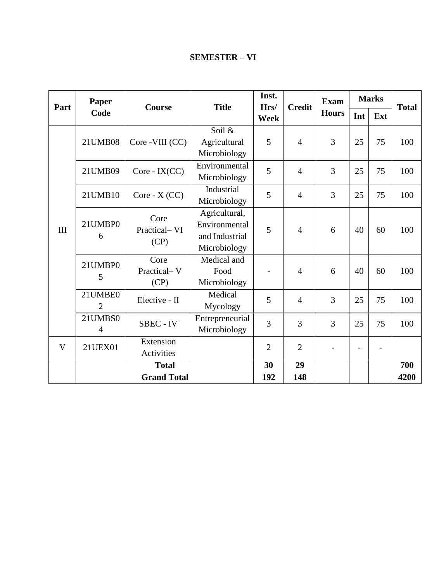# **SEMESTER – VI**

| Part | Paper          | <b>Course</b>                | <b>Title</b>    | Inst.<br>Hrs/  | <b>Credit</b>  | <b>Exam</b>  | <b>Marks</b>   |      | <b>Total</b> |
|------|----------------|------------------------------|-----------------|----------------|----------------|--------------|----------------|------|--------------|
|      | Code           |                              |                 | Week           |                | <b>Hours</b> | Int            | Ext  |              |
|      |                |                              | Soil &          |                |                |              |                |      |              |
|      | 21UMB08        | Core - VIII (CC)             | Agricultural    | 5              | $\overline{4}$ | 3            | 25             | 75   | 100          |
|      |                |                              | Microbiology    |                |                |              |                |      |              |
|      | 21UMB09        | Core - IX(CC)                | Environmental   | 5              | $\overline{4}$ | 3            | 25             | 75   | 100          |
|      |                |                              | Microbiology    |                |                |              |                |      |              |
|      | 21UMB10        | $Core - X (CC)$              | Industrial      | 5              | $\overline{4}$ | 3            | 25             | 75   | 100          |
|      |                |                              | Microbiology    |                |                |              |                |      |              |
|      | 21UMBP0<br>6   | Core<br>Practical-VI<br>(CP) | Agricultural,   | 5              |                |              |                | 60   |              |
| III  |                |                              | Environmental   |                | $\overline{4}$ | 6            | 40             |      | 100          |
|      |                |                              | and Industrial  |                |                |              |                |      |              |
|      |                |                              | Microbiology    |                |                |              |                |      |              |
|      | 21UMBP0<br>5   | Core                         | Medical and     |                |                |              | 40             |      |              |
|      |                | Practical-V                  | Food            |                | $\overline{4}$ | 6            |                | 60   | 100          |
|      |                | (CP)                         | Microbiology    |                |                |              |                |      |              |
|      | 21UMBE0        | Elective - II                | Medical         | 5              | $\overline{4}$ | 3            | 25             | 75   | 100          |
|      | $\overline{2}$ |                              | Mycology        |                |                |              |                |      |              |
|      | 21UMBS0        | <b>SBEC - IV</b>             | Entrepreneurial | 3              | 3              | 3            | 25             | 75   | 100          |
|      | $\overline{4}$ |                              | Microbiology    |                |                |              |                |      |              |
| V    | 21UEX01        | Extension                    |                 | $\overline{2}$ | $\overline{2}$ |              | $\overline{a}$ |      |              |
|      |                | Activities                   |                 | 30             |                |              |                |      |              |
|      | <b>Total</b>   |                              |                 |                | 29             |              |                |      | 700          |
|      |                | <b>Grand Total</b>           | 192             | 148            |                |              |                | 4200 |              |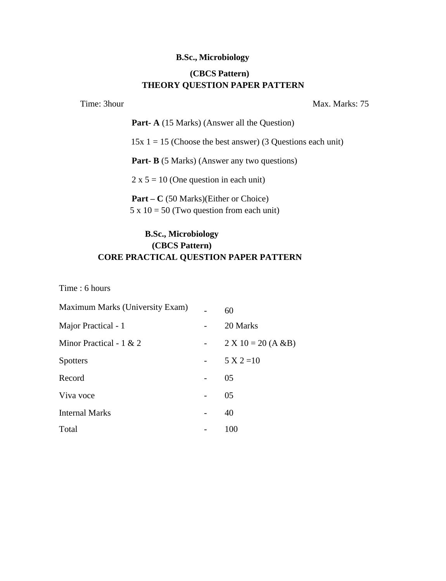#### **B.Sc., Microbiology**

# **(CBCS Pattern) THEORY QUESTION PAPER PATTERN**

Time: 3hour Max. Marks: 75

**Part- A** (15 Marks) (Answer all the Question)  $15x \, 1 = 15$  (Choose the best answer) (3 Questions each unit) **Part- B** (5 Marks) (Answer any two questions)  $2 \times 5 = 10$  (One question in each unit) **Part – C** (50 Marks)(Either or Choice)  $5 \times 10 = 50$  (Two question from each unit)

# **B.Sc., Microbiology (CBCS Pattern) CORE PRACTICAL QUESTION PAPER PATTERN**

Time : 6 hours

| Maximum Marks (University Exam) |                          | 60                    |
|---------------------------------|--------------------------|-----------------------|
| Major Practical - 1             |                          | 20 Marks              |
| Minor Practical - $1 \& 2$      | $\overline{\phantom{a}}$ | $2 X 10 = 20 (A & B)$ |
| <b>Spotters</b>                 |                          | $5 X 2 = 10$          |
| Record                          |                          | 05                    |
| Viva voce                       |                          | 05                    |
| <b>Internal Marks</b>           | -                        | 40                    |
| Total                           |                          | 100                   |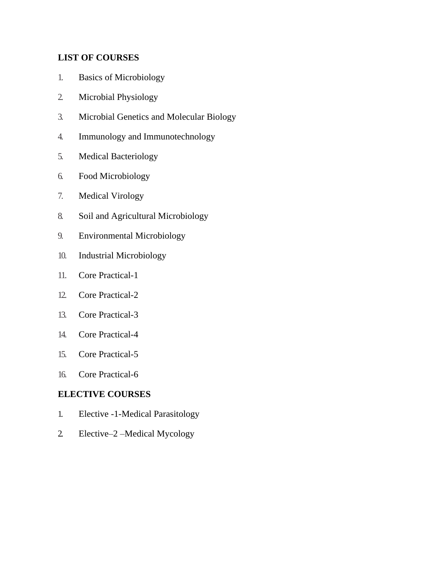# **LIST OF COURSES**

- 1. Basics of Microbiology
- 2. Microbial Physiology
- 3. Microbial Genetics and Molecular Biology
- 4. Immunology and Immunotechnology
- 5. Medical Bacteriology
- 6. Food Microbiology
- 7. Medical Virology
- 8. Soil and Agricultural Microbiology
- 9. Environmental Microbiology
- 10. Industrial Microbiology
- 11. Core Practical-1
- 12. Core Practical-2
- 13. Core Practical-3
- 14. Core Practical-4
- 15. Core Practical-5
- 16. Core Practical-6

# **ELECTIVE COURSES**

- 1. Elective -1-Medical Parasitology
- 2. Elective–2 –Medical Mycology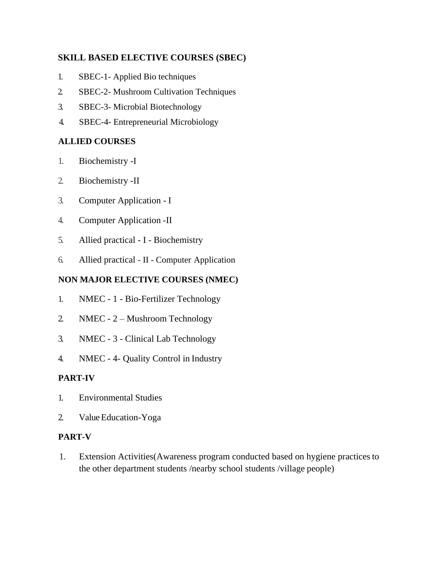# **SKILL BASED ELECTIVE COURSES (SBEC)**

- 1. SBEC-1- Applied Bio techniques
- 2. SBEC-2- Mushroom Cultivation Techniques
- 3. SBEC-3- Microbial Biotechnology
- 4. SBEC-4- Entrepreneurial Microbiology

# **ALLIED COURSES**

- 1. Biochemistry -I
- 2. Biochemistry -II
- 3. Computer Application I
- 4. Computer Application -II
- 5. Allied practical I Biochemistry
- 6. Allied practical II Computer Application

# **NON MAJOR ELECTIVE COURSES (NMEC)**

- 1. NMEC 1 Bio-Fertilizer Technology
- 2. NMEC 2 Mushroom Technology
- 3. NMEC 3 Clinical Lab Technology
- 4. NMEC 4- Quality Control in Industry

# **PART-IV**

- 1. Environmental Studies
- 2. Value Education-Yoga

# **PART-V**

1. Extension Activities(Awareness program conducted based on hygiene practicesto the other department students /nearby school students /village people)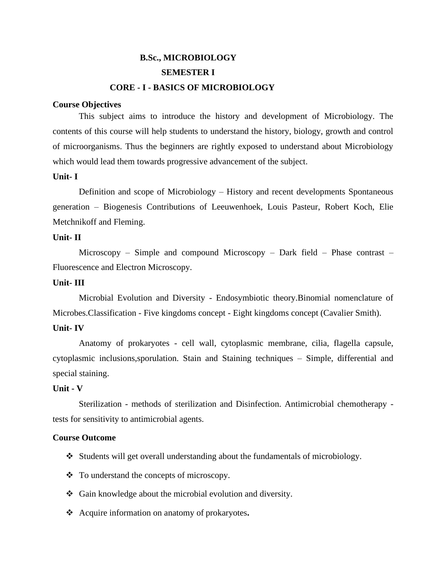# **B.Sc., MICROBIOLOGY SEMESTER I CORE - I - BASICS OF MICROBIOLOGY**

#### **Course Objectives**

This subject aims to introduce the history and development of Microbiology. The contents of this course will help students to understand the history, biology, growth and control of microorganisms. Thus the beginners are rightly exposed to understand about Microbiology which would lead them towards progressive advancement of the subject.

#### **Unit- I**

Definition and scope of Microbiology – History and recent developments Spontaneous generation – Biogenesis Contributions of Leeuwenhoek, Louis Pasteur, Robert Koch, Elie Metchnikoff and Fleming.

#### **Unit- II**

Microscopy – Simple and compound Microscopy – Dark field – Phase contrast – Fluorescence and Electron Microscopy.

#### **Unit- III**

Microbial Evolution and Diversity - Endosymbiotic theory.Binomial nomenclature of Microbes.Classification - Five kingdoms concept - Eight kingdoms concept (Cavalier Smith).

#### **Unit- IV**

Anatomy of prokaryotes - cell wall, cytoplasmic membrane, cilia, flagella capsule, cytoplasmic inclusions,sporulation. Stain and Staining techniques – Simple, differential and special staining.

#### **Unit - V**

Sterilization - methods of sterilization and Disinfection. Antimicrobial chemotherapy tests for sensitivity to antimicrobial agents.

#### **Course Outcome**

- ❖ Students will get overall understanding about the fundamentals of microbiology.
- ❖ To understand the concepts of microscopy.
- ❖ Gain knowledge about the microbial evolution and diversity.
- ❖ Acquire information on anatomy of prokaryotes**.**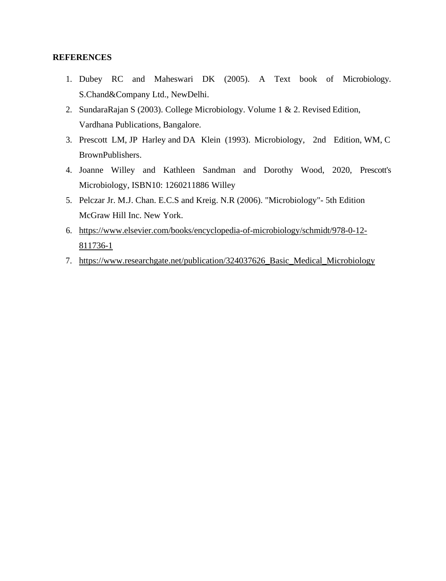- 1. Dubey RC and Maheswari DK (2005). A Text book of Microbiology. S.Chand&Company Ltd., NewDelhi.
- 2. SundaraRajan S (2003). College Microbiology. Volume 1 & 2. Revised Edition, Vardhana Publications, Bangalore.
- 3. Prescott LM, JP Harley and DA Klein (1993). Microbiology, 2nd Edition, WM, C BrownPublishers.
- 4. Joanne Willey and Kathleen Sandman and Dorothy Wood, 2020, Prescott's Microbiology, ISBN10: 1260211886 Willey
- 5. Pelczar Jr. M.J. Chan. E.C.S and Kreig. N.R (2006). "Microbiology"- 5th Edition McGraw Hill Inc. New York.
- 6. [https://www.elsevier.com/books/encyclopedia-of-microbiology/schmidt/978-0-12-](https://www.elsevier.com/books/encyclopedia-of-microbiology/schmidt/978-0-12-811736-1) [811736-1](https://www.elsevier.com/books/encyclopedia-of-microbiology/schmidt/978-0-12-811736-1)
- 7. [https://www.researchgate.net/publication/324037626\\_Basic\\_Medical\\_Microbiology](https://www.researchgate.net/publication/324037626_Basic_Medical_Microbiology)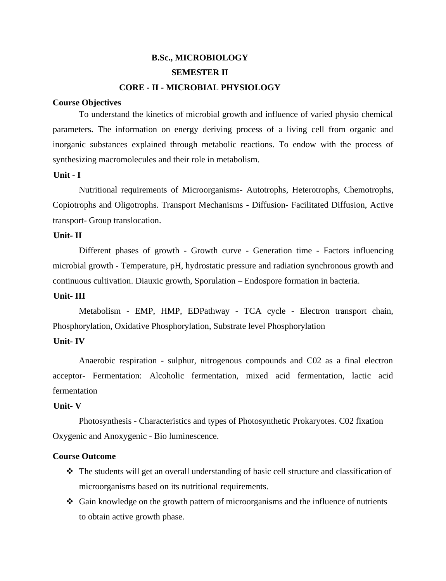# **B.Sc., MICROBIOLOGY SEMESTER II CORE - II - MICROBIAL PHYSIOLOGY**

#### **Course Objectives**

To understand the kinetics of microbial growth and influence of varied physio chemical parameters. The information on energy deriving process of a living cell from organic and inorganic substances explained through metabolic reactions. To endow with the process of synthesizing macromolecules and their role in metabolism.

#### **Unit - I**

Nutritional requirements of Microorganisms- Autotrophs, Heterotrophs, Chemotrophs, Copiotrophs and Oligotrophs. Transport Mechanisms - Diffusion- Facilitated Diffusion, Active transport- Group translocation.

#### **Unit- II**

Different phases of growth - Growth curve - Generation time - Factors influencing microbial growth - Temperature, pH, hydrostatic pressure and radiation synchronous growth and continuous cultivation. Diauxic growth, Sporulation – Endospore formation in bacteria.

#### **Unit- III**

Metabolism - EMP, HMP, EDPathway - TCA cycle - Electron transport chain, Phosphorylation, Oxidative Phosphorylation, Substrate level Phosphorylation

#### **Unit- IV**

Anaerobic respiration - sulphur, nitrogenous compounds and C02 as a final electron acceptor- Fermentation: Alcoholic fermentation, mixed acid fermentation, lactic acid fermentation

#### **Unit- V**

Photosynthesis - Characteristics and types of Photosynthetic Prokaryotes. C02 fixation Oxygenic and Anoxygenic - Bio luminescence.

#### **Course Outcome**

- ❖ The students will get an overall understanding of basic cell structure and classification of microorganisms based on its nutritional requirements.
- ❖ Gain knowledge on the growth pattern of microorganisms and the influence of nutrients to obtain active growth phase.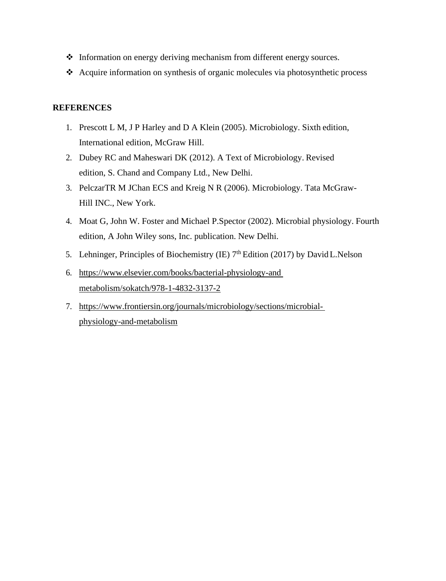- ❖ Information on energy deriving mechanism from different energy sources.
- ❖ Acquire information on synthesis of organic molecules via photosynthetic process

- 1. Prescott L M, J P Harley and D A Klein (2005). Microbiology. Sixth edition, International edition, McGraw Hill.
- 2. Dubey RC and Maheswari DK (2012). A Text of Microbiology. Revised edition, S. Chand and Company Ltd., New Delhi.
- 3. PelczarTR M JChan ECS and Kreig N R (2006). Microbiology. Tata McGraw-Hill INC., New York.
- 4. Moat G, John W. Foster and Michael P.Spector (2002). Microbial physiology. Fourth edition, A John Wiley sons, Inc. publication. New Delhi.
- 5. Lehninger, Principles of Biochemistry (IE)  $7<sup>th</sup>$  Edition (2017) by David L. Nelson
- 6. [https://www.elsevier.com/books/bacterial-physiology-and](https://www.elsevier.com/books/bacterial-physiology-and%20metabolism/sokatch/978-1-4832-3137-2) [metabolism/sokatch/978-1-4832-3137-2](https://www.elsevier.com/books/bacterial-physiology-and%20metabolism/sokatch/978-1-4832-3137-2)
- 7. [https://www.frontiersin.org/journals/microbiology/sections/microbial](https://www.frontiersin.org/journals/microbiology/sections/microbial-physiology-and-metabolism)[physiology-and-metabolism](https://www.frontiersin.org/journals/microbiology/sections/microbial-physiology-and-metabolism)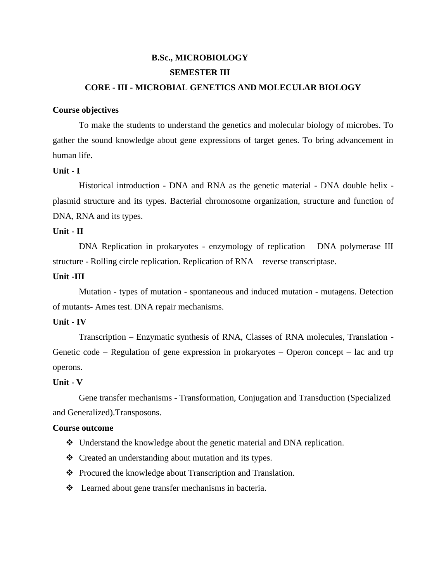# **B.Sc., MICROBIOLOGY SEMESTER III**

### **CORE - III - MICROBIAL GENETICS AND MOLECULAR BIOLOGY**

#### **Course objectives**

To make the students to understand the genetics and molecular biology of microbes. To gather the sound knowledge about gene expressions of target genes. To bring advancement in human life.

#### **Unit - I**

Historical introduction - DNA and RNA as the genetic material - DNA double helix plasmid structure and its types. Bacterial chromosome organization, structure and function of DNA, RNA and its types.

#### **Unit - II**

DNA Replication in prokaryotes - enzymology of replication – DNA polymerase III structure - Rolling circle replication. Replication of RNA – reverse transcriptase.

#### **Unit -III**

Mutation - types of mutation - spontaneous and induced mutation - mutagens. Detection of mutants- Ames test. DNA repair mechanisms.

#### **Unit - IV**

Transcription – Enzymatic synthesis of RNA, Classes of RNA molecules, Translation - Genetic code – Regulation of gene expression in prokaryotes – Operon concept – lac and trp operons.

#### **Unit - V**

Gene transfer mechanisms - Transformation, Conjugation and Transduction (Specialized and Generalized).Transposons.

#### **Course outcome**

- ❖ Understand the knowledge about the genetic material and DNA replication.
- ❖ Created an understanding about mutation and its types.
- ❖ Procured the knowledge about Transcription and Translation.
- ❖ Learned about gene transfer mechanisms in bacteria.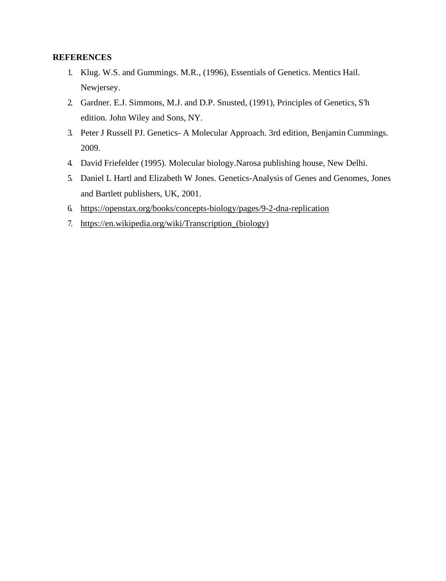- 1. Klug. W.S. and Gummings. M.R., (1996), Essentials of Genetics. Mentics Hail. Newjersey.
- 2. Gardner. E.J. Simmons, M.J. and D.P. Snusted, (1991), Principles of Genetics, S'h edition. John Wiley and Sons, NY.
- 3. Peter J Russell PJ. Genetics- A Molecular Approach. 3rd edition, Benjamin Cummings. 2009.
- 4. David Friefelder (1995). Molecular biology.Narosa publishing house, New Delhi.
- 5. Daniel L Hartl and Elizabeth W Jones. Genetics-Analysis of Genes and Genomes, Jones and Bartlett publishers, UK, 2001.
- 6. <https://openstax.org/books/concepts-biology/pages/9-2-dna-replication>
- 7. [https://en.wikipedia.org/wiki/Transcription\\_\(biology\)](https://en.wikipedia.org/wiki/Transcription_(biology))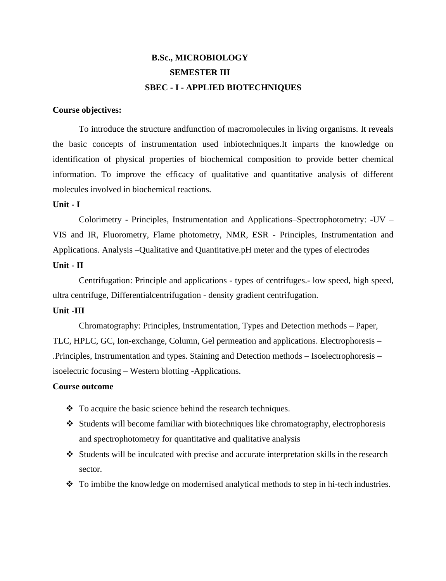# **B.Sc., MICROBIOLOGY SEMESTER III SBEC - I - APPLIED BIOTECHNIQUES**

#### **Course objectives:**

To introduce the structure andfunction of macromolecules in living organisms. It reveals the basic concepts of instrumentation used inbiotechniques.It imparts the knowledge on identification of physical properties of biochemical composition to provide better chemical information. To improve the efficacy of qualitative and quantitative analysis of different molecules involved in biochemical reactions.

#### **Unit - I**

Colorimetry - Principles, Instrumentation and Applications–Spectrophotometry: -UV – VIS and IR, Fluorometry, Flame photometry, NMR, ESR - Principles, Instrumentation and Applications. Analysis –Qualitative and Quantitative.pH meter and the types of electrodes

## **Unit - II**

Centrifugation: Principle and applications - types of centrifuges.- low speed, high speed, ultra centrifuge, Differentialcentrifugation - density gradient centrifugation.

#### **Unit -III**

Chromatography: Principles, Instrumentation, Types and Detection methods – Paper, TLC, HPLC, GC, Ion-exchange, Column, Gel permeation and applications. Electrophoresis – .Principles, Instrumentation and types. Staining and Detection methods – Isoelectrophoresis – isoelectric focusing – Western blotting -Applications.

#### **Course outcome**

- ❖ To acquire the basic science behind the research techniques.
- ❖ Students will become familiar with biotechniques like chromatography, electrophoresis and spectrophotometry for quantitative and qualitative analysis
- ❖ Students will be inculcated with precise and accurate interpretation skills in the research sector.
- ❖ To imbibe the knowledge on modernised analytical methods to step in hi-tech industries.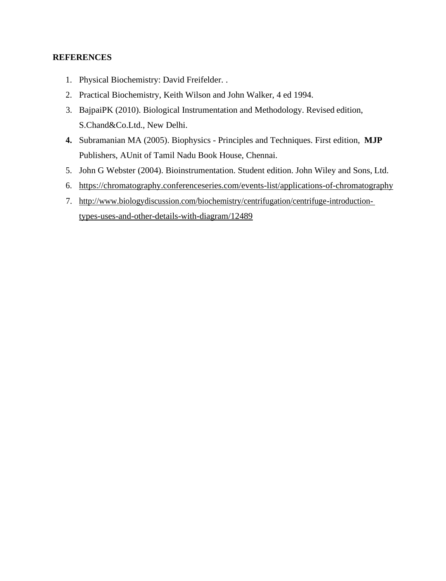- 1. Physical Biochemistry: David Freifelder. .
- 2. Practical Biochemistry, Keith Wilson and John Walker, 4 ed 1994.
- 3. BajpaiPK (2010). Biological Instrumentation and Methodology. Revised edition, S.Chand&Co.Ltd., New Delhi.
- **4.** Subramanian MA (2005). Biophysics Principles and Techniques. First edition, **MJP** Publishers, AUnit of Tamil Nadu Book House, Chennai.
- 5. John G Webster (2004). Bioinstrumentation. Student edition. John Wiley and Sons, Ltd.
- 6. <https://chromatography.conferenceseries.com/events-list/applications-of-chromatography>
- 7. [http://www.biologydiscussion.com/biochemistry/centrifugation/centrifuge-introduction](http://www.biologydiscussion.com/biochemistry/centrifugation/centrifuge-introduction-)types-uses-and-other-details-with-diagram/12489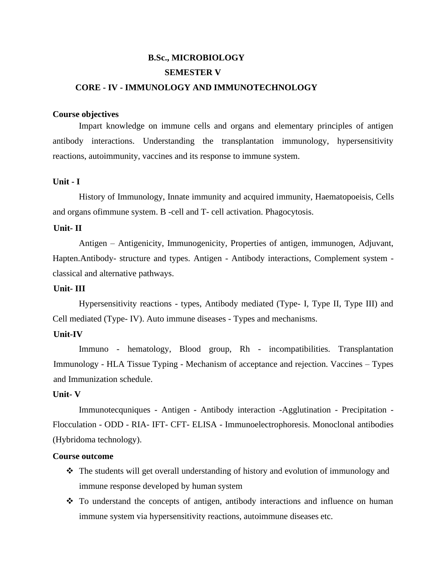# **B.Sc., MICROBIOLOGY SEMESTER V CORE - IV - IMMUNOLOGY AND IMMUNOTECHNOLOGY**

#### **Course objectives**

Impart knowledge on immune cells and organs and elementary principles of antigen antibody interactions. Understanding the transplantation immunology, hypersensitivity reactions, autoimmunity, vaccines and its response to immune system.

#### **Unit - I**

History of Immunology, Innate immunity and acquired immunity, Haematopoeisis, Cells and organs ofimmune system. B -cell and T- cell activation. Phagocytosis.

#### **Unit- II**

Antigen – Antigenicity, Immunogenicity, Properties of antigen, immunogen, Adjuvant, Hapten.Antibody- structure and types. Antigen - Antibody interactions, Complement system classical and alternative pathways.

#### **Unit- III**

Hypersensitivity reactions - types, Antibody mediated (Type- I, Type II, Type III) and Cell mediated (Type- IV). Auto immune diseases - Types and mechanisms.

#### **Unit-IV**

Immuno - hematology, Blood group, Rh - incompatibilities. Transplantation Immunology - HLA Tissue Typing - Mechanism of acceptance and rejection. Vaccines – Types and Immunization schedule.

#### **Unit- V**

Immunotecquniques - Antigen - Antibody interaction -Agglutination - Precipitation - Flocculation - ODD - RIA- IFT- CFT- ELISA - Immunoelectrophoresis. Monoclonal antibodies (Hybridoma technology).

#### **Course outcome**

- ❖ The students will get overall understanding of history and evolution of immunology and immune response developed by human system
- ❖ To understand the concepts of antigen, antibody interactions and influence on human immune system via hypersensitivity reactions, autoimmune diseases etc.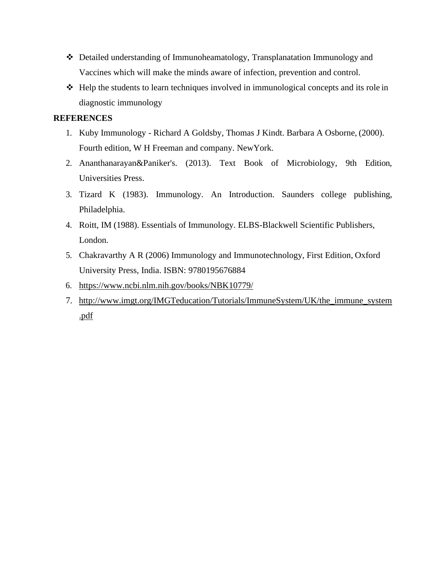- ❖ Detailed understanding of Immunoheamatology, Transplanatation Immunology and Vaccines which will make the minds aware of infection, prevention and control.
- ❖ Help the students to learn techniques involved in immunological concepts and its role in diagnostic immunology

- 1. Kuby Immunology Richard A Goldsby, Thomas J Kindt. Barbara A Osborne, (2000). Fourth edition, W H Freeman and company. NewYork.
- 2. Ananthanarayan&Paniker's. (2013). Text Book of Microbiology, 9th Edition, Universities Press.
- 3. Tizard K (1983). Immunology. An Introduction. Saunders college publishing, Philadelphia.
- 4. Roitt, IM (1988). Essentials of Immunology. ELBS-Blackwell Scientific Publishers, London.
- 5. Chakravarthy A R (2006) Immunology and Immunotechnology, First Edition, Oxford University Press, India. ISBN: 9780195676884
- 6. <https://www.ncbi.nlm.nih.gov/books/NBK10779/>
- 7. [http://www.imgt.org/IMGTeducation/Tutorials/ImmuneSystem/UK/the\\_immune\\_system](http://www.imgt.org/IMGTeducation/Tutorials/ImmuneSystem/UK/the_immune_system.pdf) [.pdf](http://www.imgt.org/IMGTeducation/Tutorials/ImmuneSystem/UK/the_immune_system.pdf)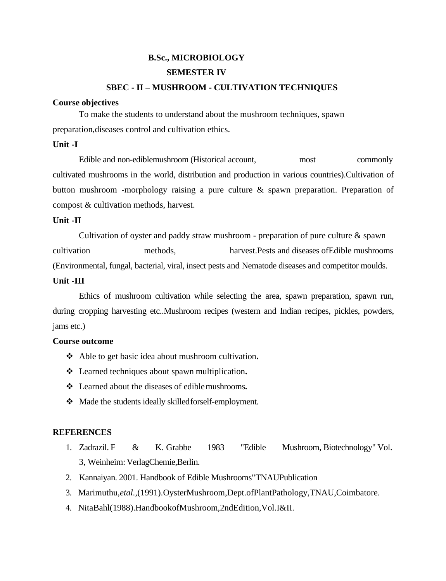# **B.Sc., MICROBIOLOGY SEMESTER IV SBEC - II – MUSHROOM - CULTIVATION TECHNIQUES**

#### **Course objectives**

To make the students to understand about the mushroom techniques, spawn preparation,diseases control and cultivation ethics.

#### **Unit -I**

Edible and non-ediblemushroom (Historical account, most commonly cultivated mushrooms in the world, distribution and production in various countries).Cultivation of button mushroom -morphology raising a pure culture & spawn preparation. Preparation of compost & cultivation methods, harvest.

#### **Unit -II**

Cultivation of oyster and paddy straw mushroom - preparation of pure culture  $\&$  spawn cultivation methods, harvest.Pests and diseases ofEdible mushrooms (Environmental, fungal, bacterial, viral, insect pests and Nematode diseases and competitor moulds.

#### **Unit -III**

Ethics of mushroom cultivation while selecting the area, spawn preparation, spawn run, during cropping harvesting etc..Mushroom recipes (western and Indian recipes, pickles, powders, jams etc.)

#### **Course outcome**

- ❖ Able to get basic idea about mushroom cultivation**.**
- ❖ Learned techniques about spawn multiplication**.**
- ❖ Learned about the diseases of ediblemushrooms**.**
- ❖ Made the students ideally skilledforself-employment.

- 1. Zadrazil. F & K. Grabbe 1983 "Edible Mushroom, Biotechnology" Vol. 3, Weinheim: VerlagChemie,Berlin.
- 2. Kannaiyan. 2001. Handbook of Edible Mushrooms"TNAUPublication
- 3. Marimuthu,*etal.,*(1991).OysterMushroom,Dept.ofPlantPathology,TNAU,Coimbatore.
- 4. NitaBahl(1988).HandbookofMushroom,2ndEdition,Vol.I&II.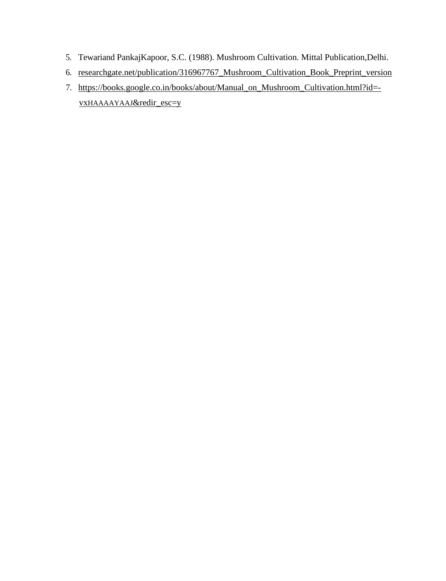- 5. Tewariand PankajKapoor, S.C. (1988). Mushroom Cultivation. Mittal Publication,Delhi.
- 6. researchgate.net/publication/316967767\_Mushroom\_Cultivation\_Book\_Preprint\_version
- 7. [https://books.google.co.in/books/about/Manual\\_on\\_Mushroom\\_Cultivation.html?id=](https://books.google.co.in/books/about/Manual_on_Mushroom_Cultivation.html?id=-vxHAAAAYAAJ&amp%3Bredir_esc=y) vxHAAAAYAAJ[&redir\\_esc=y](https://books.google.co.in/books/about/Manual_on_Mushroom_Cultivation.html?id=-vxHAAAAYAAJ&amp%3Bredir_esc=y)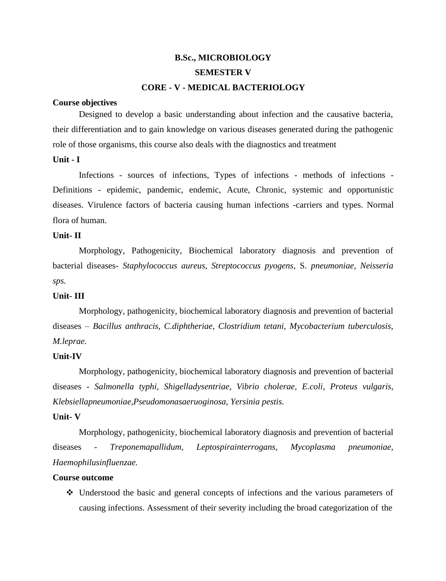# **B.Sc., MICROBIOLOGY SEMESTER V CORE - V - MEDICAL BACTERIOLOGY**

#### **Course objectives**

Designed to develop a basic understanding about infection and the causative bacteria, their differentiation and to gain knowledge on various diseases generated during the pathogenic role of those organisms, this course also deals with the diagnostics and treatment

#### **Unit - I**

Infections - sources of infections, Types of infections - methods of infections - Definitions - epidemic, pandemic, endemic, Acute, Chronic, systemic and opportunistic diseases. Virulence factors of bacteria causing human infections -carriers and types. Normal flora of human.

#### **Unit- II**

Morphology, Pathogenicity, Biochemical laboratory diagnosis and prevention of bacterial diseases- *Staphylococcus aureus, Streptococcus pyogens,* S. *pneumoniae, Neisseria sps.*

#### **Unit- III**

Morphology, pathogenicity, biochemical laboratory diagnosis and prevention of bacterial diseases – *Bacillus anthracis, C.diphtheriae, Clostridium tetani, Mycobacterium tuberculosis, M.leprae.*

#### **Unit-IV**

Morphology, pathogenicity, biochemical laboratory diagnosis and prevention of bacterial diseases - *Salmonella typhi, Shigelladysentriae, Vibrio cholerae, E.coli, Proteus vulgaris, Klebsiellapneumoniae,Pseudomonasaeruoginosa, Yersinia pestis.*

#### **Unit- V**

Morphology, pathogenicity, biochemical laboratory diagnosis and prevention of bacterial diseases - *Treponemapallidum, Leptospirainterrogans, Mycoplasma pneumoniae, Haemophilusinfluenzae.*

#### **Course outcome**

❖ Understood the basic and general concepts of infections and the various parameters of causing infections. Assessment of their severity including the broad categorization of the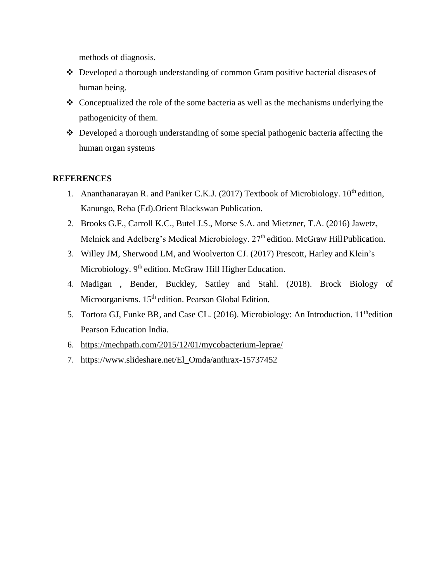methods of diagnosis.

- ❖ Developed a thorough understanding of common Gram positive bacterial diseases of human being.
- ❖ Conceptualized the role of the some bacteria as well as the mechanisms underlying the pathogenicity of them.
- ❖ Developed a thorough understanding of some special pathogenic bacteria affecting the human organ systems

- 1. Ananthanarayan R. and Paniker C.K.J. (2017) Textbook of Microbiology.  $10^{th}$  edition, Kanungo, Reba (Ed).Orient Blackswan Publication.
- 2. Brooks G.F., Carroll K.C., Butel J.S., Morse S.A. and Mietzner, T.A. (2016) Jawetz, Melnick and Adelberg's Medical Microbiology. 27<sup>th</sup> edition. McGraw HillPublication.
- 3. Willey JM, Sherwood LM, and Woolverton CJ. (2017) Prescott, Harley and Klein's Microbiology. 9<sup>th</sup> edition. McGraw Hill Higher Education.
- 4. Madigan , Bender, Buckley, Sattley and Stahl. (2018). Brock Biology of Microorganisms. 15<sup>th</sup> edition. Pearson Global Edition.
- 5. Tortora GJ, Funke BR, and Case CL. (2016). Microbiology: An Introduction. 11<sup>th</sup>edition Pearson Education India.
- 6. <https://mechpath.com/2015/12/01/mycobacterium-leprae/>
- 7. [https://www.slideshare.net/El\\_Omda/anthrax-15737452](https://www.slideshare.net/El_Omda/anthrax-15737452)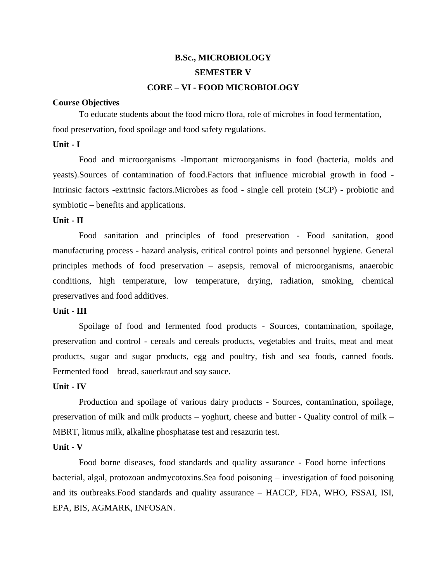# **B.Sc., MICROBIOLOGY SEMESTER V CORE – VI - FOOD MICROBIOLOGY**

#### **Course Objectives**

To educate students about the food micro flora, role of microbes in food fermentation, food preservation, food spoilage and food safety regulations.

#### **Unit - I**

Food and microorganisms -Important microorganisms in food (bacteria, molds and yeasts).Sources of contamination of food.Factors that influence microbial growth in food - Intrinsic factors -extrinsic factors.Microbes as food - single cell protein (SCP) - probiotic and symbiotic – benefits and applications.

#### **Unit - II**

Food sanitation and principles of food preservation - Food sanitation, good manufacturing process - hazard analysis, critical control points and personnel hygiene. General principles methods of food preservation – asepsis, removal of microorganisms, anaerobic conditions, high temperature, low temperature, drying, radiation, smoking, chemical preservatives and food additives.

#### **Unit - III**

Spoilage of food and fermented food products - Sources, contamination, spoilage, preservation and control - cereals and cereals products, vegetables and fruits, meat and meat products, sugar and sugar products, egg and poultry, fish and sea foods, canned foods. Fermented food – bread, sauerkraut and soy sauce.

#### **Unit - IV**

Production and spoilage of various dairy products - Sources, contamination, spoilage, preservation of milk and milk products – yoghurt, cheese and butter - Quality control of milk – MBRT, litmus milk, alkaline phosphatase test and resazurin test.

#### **Unit - V**

Food borne diseases, food standards and quality assurance - Food borne infections – bacterial, algal, protozoan andmycotoxins.Sea food poisoning – investigation of food poisoning and its outbreaks.Food standards and quality assurance – HACCP, FDA, WHO, FSSAI, ISI, EPA, BIS, AGMARK, INFOSAN.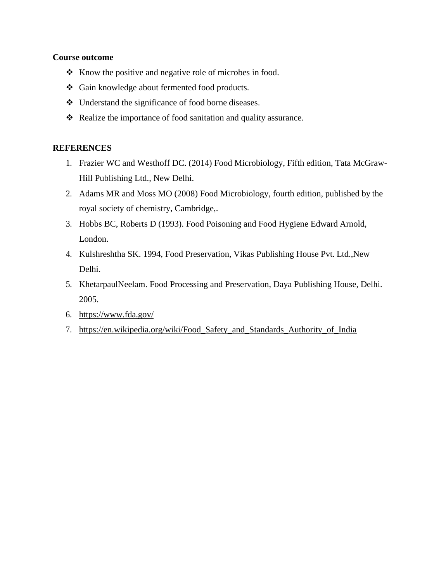#### **Course outcome**

- ❖ Know the positive and negative role of microbes in food.
- ❖ Gain knowledge about fermented food products.
- ❖ Understand the significance of food borne diseases.
- ❖ Realize the importance of food sanitation and quality assurance.

- 1. Frazier WC and Westhoff DC. (2014) Food Microbiology, Fifth edition, Tata McGraw-Hill Publishing Ltd., New Delhi.
- 2. Adams MR and Moss MO (2008) Food Microbiology, fourth edition, published by the royal society of chemistry, Cambridge,.
- 3. Hobbs BC, Roberts D (1993). Food Poisoning and Food Hygiene Edward Arnold, London.
- 4. Kulshreshtha SK. 1994, Food Preservation, Vikas Publishing House Pvt. Ltd.,New Delhi.
- 5. KhetarpaulNeelam. Food Processing and Preservation, Daya Publishing House, Delhi. 2005.
- 6. <https://www.fda.gov/>
- 7. [https://en.wikipedia.org/wiki/Food\\_Safety\\_and\\_Standards\\_Authority\\_of\\_India](https://en.wikipedia.org/wiki/Food_Safety_and_Standards_Authority_of_India)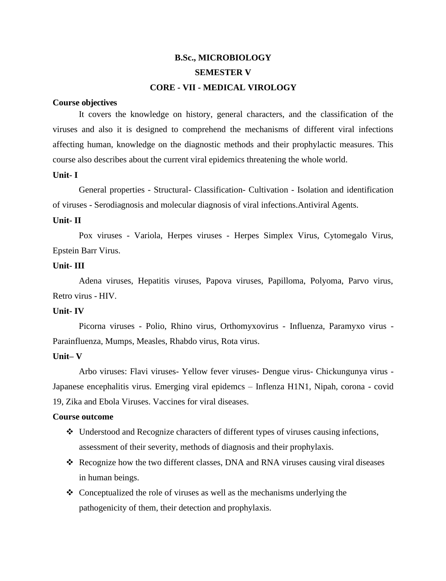# **B.Sc., MICROBIOLOGY SEMESTER V CORE - VII - MEDICAL VIROLOGY**

#### **Course objectives**

It covers the knowledge on history, general characters, and the classification of the viruses and also it is designed to comprehend the mechanisms of different viral infections affecting human, knowledge on the diagnostic methods and their prophylactic measures. This course also describes about the current viral epidemics threatening the whole world.

#### **Unit- I**

General properties - Structural- Classification- Cultivation - Isolation and identification of viruses - Serodiagnosis and molecular diagnosis of viral infections.Antiviral Agents.

#### **Unit- II**

Pox viruses - Variola, Herpes viruses - Herpes Simplex Virus, Cytomegalo Virus, Epstein Barr Virus.

#### **Unit- III**

Adena viruses, Hepatitis viruses, Papova viruses, Papilloma, Polyoma, Parvo virus, Retro virus - HIV.

#### **Unit- IV**

Picorna viruses - Polio, Rhino virus, Orthomyxovirus - Influenza, Paramyxo virus - Parainfluenza, Mumps, Measles, Rhabdo virus, Rota virus.

#### **Unit– V**

Arbo viruses: Flavi viruses- Yellow fever viruses- Dengue virus- Chickungunya virus - Japanese encephalitis virus. Emerging viral epidemcs – Inflenza H1N1, Nipah, corona - covid 19, Zika and Ebola Viruses. Vaccines for viral diseases.

#### **Course outcome**

- ❖ Understood and Recognize characters of different types of viruses causing infections, assessment of their severity, methods of diagnosis and their prophylaxis.
- ❖ Recognize how the two different classes, DNA and RNA viruses causing viral diseases in human beings.
- ❖ Conceptualized the role of viruses as well as the mechanisms underlying the pathogenicity of them, their detection and prophylaxis.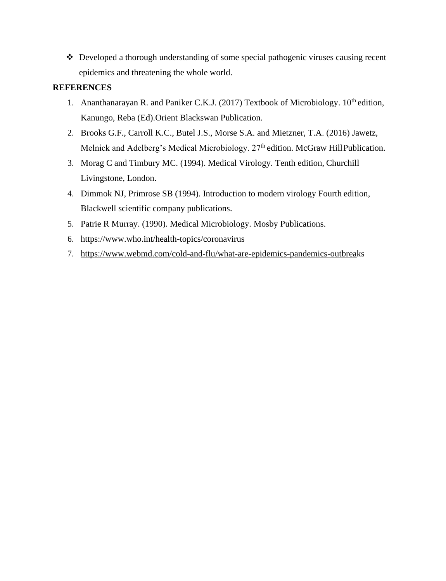❖ Developed a thorough understanding of some special pathogenic viruses causing recent epidemics and threatening the whole world.

- 1. Ananthanarayan R. and Paniker C.K.J. (2017) Textbook of Microbiology.  $10^{th}$  edition, Kanungo, Reba (Ed).Orient Blackswan Publication.
- 2. Brooks G.F., Carroll K.C., Butel J.S., Morse S.A. and Mietzner, T.A. (2016) Jawetz, Melnick and Adelberg's Medical Microbiology. 27<sup>th</sup> edition. McGraw HillPublication.
- 3. Morag C and Timbury MC. (1994). Medical Virology. Tenth edition, Churchill Livingstone, London.
- 4. Dimmok NJ, Primrose SB (1994). Introduction to modern virology Fourth edition, Blackwell scientific company publications.
- 5. Patrie R Murray. (1990). Medical Microbiology. Mosby Publications.
- 6. <https://www.who.int/health-topics/coronavirus>
- 7. [https://www.webmd.com/cold-and-flu/what-are-epidemics-pandemics-outbreak](https://www.webmd.com/cold-and-flu/what-are-epidemics-pandemics-outbrea)s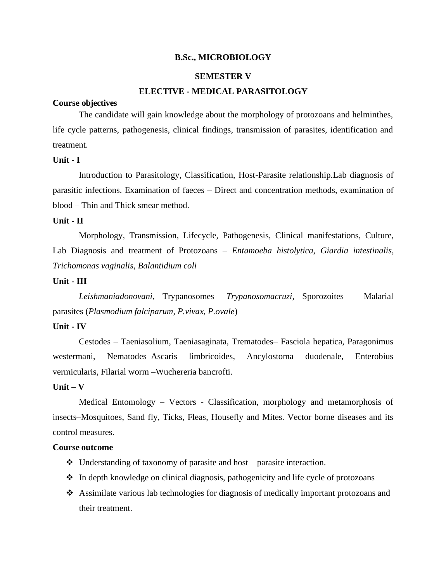#### **B.Sc., MICROBIOLOGY**

#### **SEMESTER V**

#### **ELECTIVE - MEDICAL PARASITOLOGY**

#### **Course objectives**

The candidate will gain knowledge about the morphology of protozoans and helminthes, life cycle patterns, pathogenesis, clinical findings, transmission of parasites, identification and treatment.

#### **Unit - I**

Introduction to Parasitology, Classification, Host-Parasite relationship.Lab diagnosis of parasitic infections. Examination of faeces – Direct and concentration methods, examination of blood – Thin and Thick smear method.

#### **Unit - II**

Morphology, Transmission, Lifecycle, Pathogenesis, Clinical manifestations, Culture, Lab Diagnosis and treatment of Protozoans – *Entamoeba histolytica*, *Giardia intestinalis*, *Trichomonas vaginalis*, *Balantidium coli*

#### **Unit - III**

*Leishmaniadonovani*, Trypanosomes –*Trypanosomacruzi*, Sporozoites – Malarial parasites (*Plasmodium falciparum*, *P.vivax*, *P.ovale*)

#### **Unit - IV**

Cestodes – Taeniasolium, Taeniasaginata, Trematodes– Fasciola hepatica, Paragonimus westermani, Nematodes–Ascaris limbricoides, Ancylostoma duodenale, Enterobius vermicularis, Filarial worm –Wuchereria bancrofti.

#### **Unit – V**

Medical Entomology – Vectors - Classification, morphology and metamorphosis of insects–Mosquitoes, Sand fly, Ticks, Fleas, Housefly and Mites. Vector borne diseases and its control measures.

#### **Course outcome**

- ❖ Understanding of taxonomy of parasite and host parasite interaction.
- ❖ In depth knowledge on clinical diagnosis, pathogenicity and life cycle of protozoans
- ❖ Assimilate various lab technologies for diagnosis of medically important protozoans and their treatment.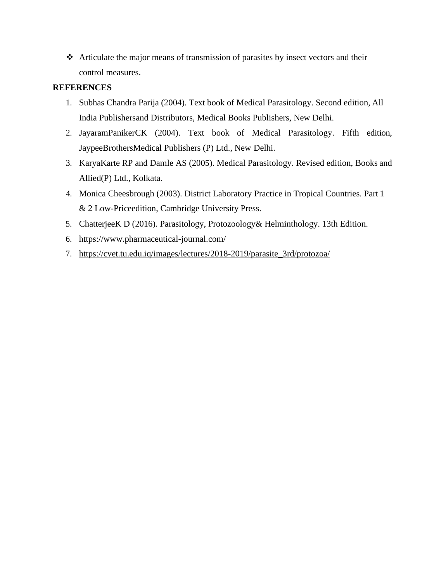❖ Articulate the major means of transmission of parasites by insect vectors and their control measures.

- 1. Subhas Chandra Parija (2004). Text book of Medical Parasitology. Second edition, All India Publishersand Distributors, Medical Books Publishers, New Delhi.
- 2. JayaramPanikerCK (2004). Text book of Medical Parasitology. Fifth edition, JaypeeBrothersMedical Publishers (P) Ltd., New Delhi.
- 3. KaryaKarte RP and Damle AS (2005). Medical Parasitology. Revised edition, Books and Allied(P) Ltd., Kolkata.
- 4. Monica Cheesbrough (2003). District Laboratory Practice in Tropical Countries. Part 1 & 2 Low-Priceedition, Cambridge University Press.
- 5. ChatterjeeK D (2016). Parasitology, Protozoology& Helminthology. 13th Edition.
- 6. <https://www.pharmaceutical-journal.com/>
- 7. [https://cvet.tu.edu.iq/images/lectures/2018-2019/parasite\\_3rd/protozoa/](https://cvet.tu.edu.iq/images/lectures/2018-2019/parasite_3rd/protozoa/)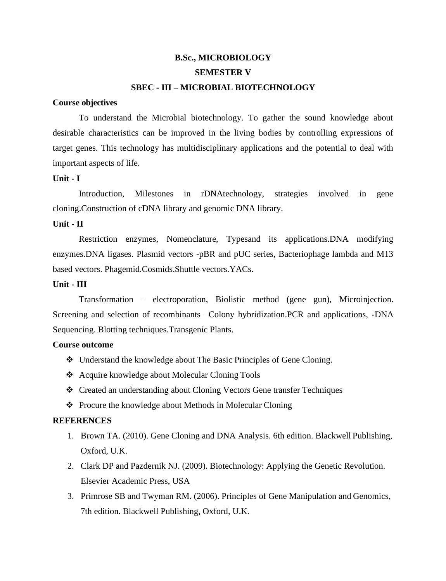# **B.Sc., MICROBIOLOGY SEMESTER V SBEC - III – MICROBIAL BIOTECHNOLOGY**

#### **Course objectives**

To understand the Microbial biotechnology. To gather the sound knowledge about desirable characteristics can be improved in the living bodies by controlling expressions of target genes. This technology has multidisciplinary applications and the potential to deal with important aspects of life.

#### **Unit - I**

Introduction, Milestones in rDNAtechnology, strategies involved in gene cloning.Construction of cDNA library and genomic DNA library.

#### **Unit - II**

Restriction enzymes, Nomenclature, Typesand its applications.DNA modifying enzymes.DNA ligases. Plasmid vectors -pBR and pUC series, Bacteriophage lambda and M13 based vectors. Phagemid.Cosmids.Shuttle vectors.YACs.

#### **Unit - III**

Transformation – electroporation, Biolistic method (gene gun), Microinjection. Screening and selection of recombinants –Colony hybridization.PCR and applications, -DNA Sequencing. Blotting techniques.Transgenic Plants.

#### **Course outcome**

- ❖ Understand the knowledge about The Basic Principles of Gene Cloning.
- ❖ Acquire knowledge about Molecular Cloning Tools
- ❖ Created an understanding about Cloning Vectors Gene transfer Techniques
- ❖ Procure the knowledge about Methods in Molecular Cloning

- 1. Brown TA. (2010). Gene Cloning and DNA Analysis. 6th edition. Blackwell Publishing, Oxford, U.K.
- 2. Clark DP and Pazdernik NJ. (2009). Biotechnology: Applying the Genetic Revolution. Elsevier Academic Press, USA
- 3. Primrose SB and Twyman RM. (2006). Principles of Gene Manipulation and Genomics, 7th edition. Blackwell Publishing, Oxford, U.K.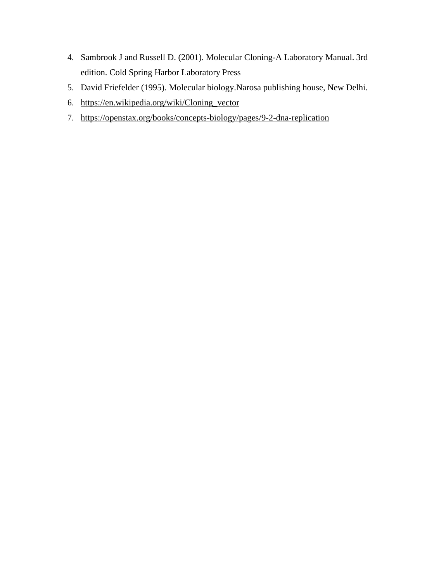- 4. Sambrook J and Russell D. (2001). Molecular Cloning-A Laboratory Manual. 3rd edition. Cold Spring Harbor Laboratory Press
- 5. David Friefelder (1995). Molecular biology.Narosa publishing house, New Delhi.
- 6. [https://en.wikipedia.org/wiki/Cloning\\_vector](https://en.wikipedia.org/wiki/Cloning_vector)
- 7. <https://openstax.org/books/concepts-biology/pages/9-2-dna-replication>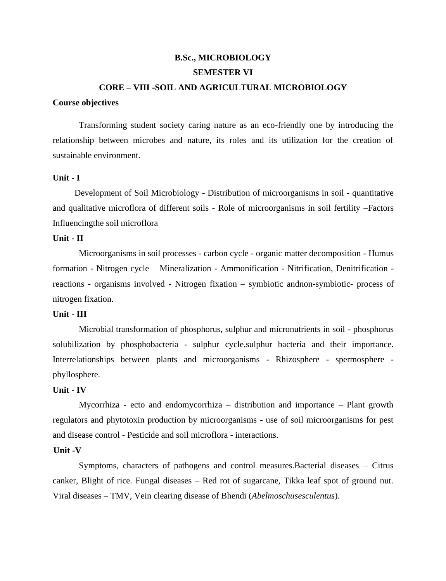# **B.Sc., MICROBIOLOGY SEMESTER VI**

#### **CORE – VIII -SOIL AND AGRICULTURAL MICROBIOLOGY**

#### **Course objectives**

Transforming student society caring nature as an eco-friendly one by introducing the relationship between microbes and nature, its roles and its utilization for the creation of sustainable environment.

#### **Unit - I**

Development of Soil Microbiology - Distribution of microorganisms in soil - quantitative and qualitative microflora of different soils - Role of microorganisms in soil fertility –Factors Influencingthe soil microflora

#### **Unit - II**

Microorganisms in soil processes - carbon cycle - organic matter decomposition - Humus formation - Nitrogen cycle – Mineralization - Ammonification - Nitrification, Denitrification reactions - organisms involved - Nitrogen fixation – symbiotic andnon-symbiotic- process of nitrogen fixation.

#### **Unit - III**

Microbial transformation of phosphorus, sulphur and micronutrients in soil - phosphorus solubilization by phosphobacteria - sulphur cycle,sulphur bacteria and their importance. Interrelationships between plants and microorganisms - Rhizosphere - spermosphere phyllosphere.

#### **Unit - IV**

Mycorrhiza - ecto and endomycorrhiza – distribution and importance – Plant growth regulators and phytotoxin production by microorganisms - use of soil microorganisms for pest and disease control - Pesticide and soil microflora - interactions.

#### **Unit -V**

Symptoms, characters of pathogens and control measures.Bacterial diseases – Citrus canker, Blight of rice. Fungal diseases – Red rot of sugarcane, Tikka leaf spot of ground nut. Viral diseases – TMV, Vein clearing disease of Bhendi (*Abelmoschusesculentus*).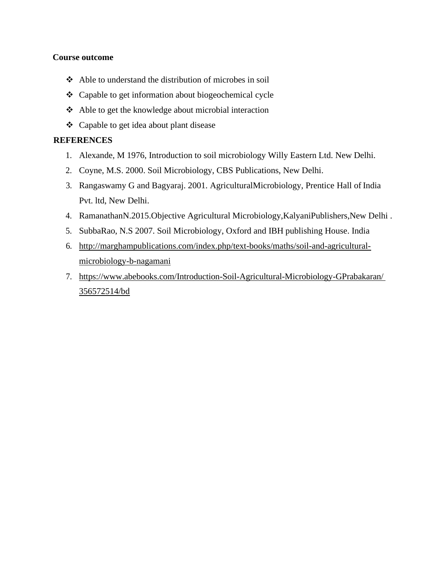### **Course outcome**

- ❖ Able to understand the distribution of microbes in soil
- ❖ Capable to get information about biogeochemical cycle
- ❖ Able to get the knowledge about microbial interaction
- ❖ Capable to get idea about plant disease

- 1. Alexande, M 1976, Introduction to soil microbiology Willy Eastern Ltd. New Delhi.
- 2. Coyne, M.S. 2000. Soil Microbiology, CBS Publications, New Delhi.
- 3. Rangaswamy G and Bagyaraj. 2001. AgriculturalMicrobiology, Prentice Hall of India Pvt. ltd, New Delhi.
- 4. RamanathanN.2015.Objective Agricultural Microbiology,KalyaniPublishers,New Delhi .
- 5. SubbaRao, N.S 2007. Soil Microbiology, Oxford and IBH publishing House. India
- 6. [http://marghampublications.com/index.php/text-books/maths/soil-and-agricultural](http://marghampublications.com/index.php/text-books/maths/soil-and-agricultural-microbiology-b-nagamani)[microbiology-b-nagamani](http://marghampublications.com/index.php/text-books/maths/soil-and-agricultural-microbiology-b-nagamani)
- 7. [https://www.abebooks.com/Introduction-Soil-Agricultural-Microbiology-GPrabakaran/](https://www.abebooks.com/Introduction-Soil-Agricultural-Microbiology-GPrabakaran/%20356572514/bd) [356572514/bd](https://www.abebooks.com/Introduction-Soil-Agricultural-Microbiology-GPrabakaran/%20356572514/bd)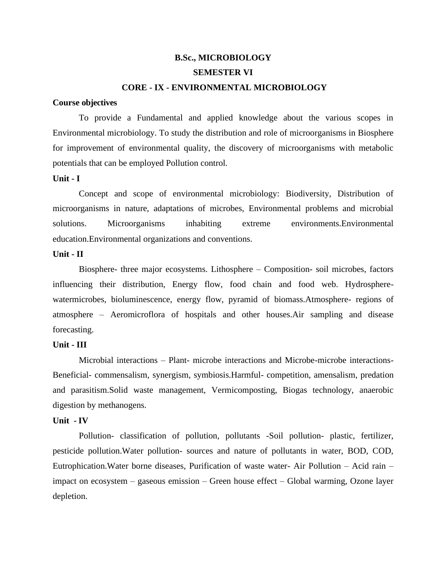# **B.Sc., MICROBIOLOGY SEMESTER VI CORE - IX - ENVIRONMENTAL MICROBIOLOGY**

#### **Course objectives**

To provide a Fundamental and applied knowledge about the various scopes in Environmental microbiology. To study the distribution and role of microorganisms in Biosphere for improvement of environmental quality, the discovery of microorganisms with metabolic potentials that can be employed Pollution control.

#### **Unit - I**

Concept and scope of environmental microbiology: Biodiversity, Distribution of microorganisms in nature, adaptations of microbes, Environmental problems and microbial solutions. Microorganisms inhabiting extreme environments.Environmental education.Environmental organizations and conventions.

#### **Unit - II**

Biosphere- three major ecosystems. Lithosphere – Composition- soil microbes, factors influencing their distribution, Energy flow, food chain and food web. Hydrospherewatermicrobes, bioluminescence, energy flow, pyramid of biomass.Atmosphere- regions of atmosphere – Aeromicroflora of hospitals and other houses.Air sampling and disease forecasting.

#### **Unit - III**

Microbial interactions – Plant- microbe interactions and Microbe-microbe interactions-Beneficial- commensalism, synergism, symbiosis.Harmful- competition, amensalism, predation and parasitism.Solid waste management, Vermicomposting, Biogas technology, anaerobic digestion by methanogens.

#### **Unit - IV**

Pollution- classification of pollution, pollutants -Soil pollution- plastic, fertilizer, pesticide pollution.Water pollution- sources and nature of pollutants in water, BOD, COD, Eutrophication.Water borne diseases, Purification of waste water- Air Pollution – Acid rain – impact on ecosystem – gaseous emission – Green house effect – Global warming, Ozone layer depletion.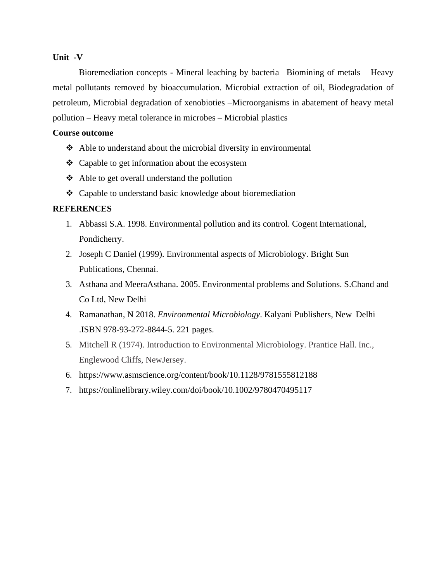#### **Unit -V**

Bioremediation concepts - Mineral leaching by bacteria –Biomining of metals – Heavy metal pollutants removed by bioaccumulation. Microbial extraction of oil, Biodegradation of petroleum, Microbial degradation of xenobioties –Microorganisms in abatement of heavy metal pollution – Heavy metal tolerance in microbes – Microbial plastics

#### **Course outcome**

- ❖ Able to understand about the microbial diversity in environmental
- ❖ Capable to get information about the ecosystem
- ❖ Able to get overall understand the pollution
- ❖ Capable to understand basic knowledge about bioremediation

- 1. Abbassi S.A. 1998. Environmental pollution and its control. Cogent International, Pondicherry.
- 2. Joseph C Daniel (1999). Environmental aspects of Microbiology. Bright Sun Publications, Chennai.
- 3. Asthana and MeeraAsthana. 2005. Environmental problems and Solutions. S.Chand and Co Ltd, New Delhi
- 4. Ramanathan, N 2018. *Environmental Microbiology*. Kalyani Publishers, New Delhi .ISBN 978-93-272-8844-5. 221 pages.
- 5. Mitchell R (1974). Introduction to Environmental Microbiology. Prantice Hall. Inc., Englewood Cliffs, NewJersey.
- 6. <https://www.asmscience.org/content/book/10.1128/9781555812188>
- 7. <https://onlinelibrary.wiley.com/doi/book/10.1002/9780470495117>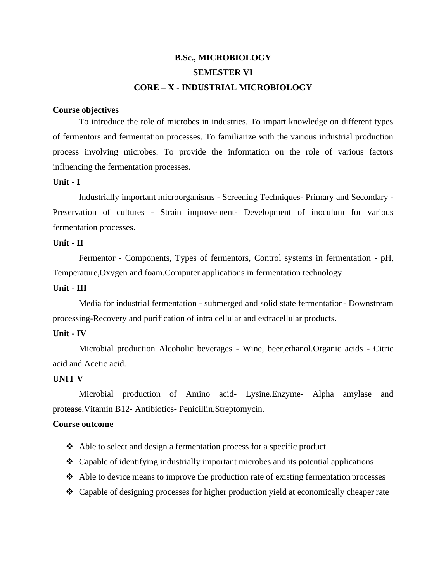# **B.Sc., MICROBIOLOGY SEMESTER VI CORE – X - INDUSTRIAL MICROBIOLOGY**

#### **Course objectives**

To introduce the role of microbes in industries. To impart knowledge on different types of fermentors and fermentation processes. To familiarize with the various industrial production process involving microbes. To provide the information on the role of various factors influencing the fermentation processes.

#### **Unit - I**

Industrially important microorganisms - Screening Techniques- Primary and Secondary - Preservation of cultures - Strain improvement- Development of inoculum for various fermentation processes.

#### **Unit - II**

Fermentor - Components, Types of fermentors, Control systems in fermentation - pH, Temperature,Oxygen and foam.Computer applications in fermentation technology

# **Unit - III**

Media for industrial fermentation - submerged and solid state fermentation- Downstream processing-Recovery and purification of intra cellular and extracellular products.

#### **Unit - IV**

Microbial production Alcoholic beverages - Wine, beer,ethanol.Organic acids - Citric acid and Acetic acid.

#### **UNIT V**

Microbial production of Amino acid- Lysine.Enzyme- Alpha amylase and protease.Vitamin B12- Antibiotics- Penicillin,Streptomycin.

#### **Course outcome**

- ❖ Able to select and design a fermentation process for a specific product
- $\triangleleft$  Capable of identifying industrially important microbes and its potential applications
- ❖ Able to device means to improve the production rate of existing fermentation processes
- ❖ Capable of designing processes for higher production yield at economically cheaper rate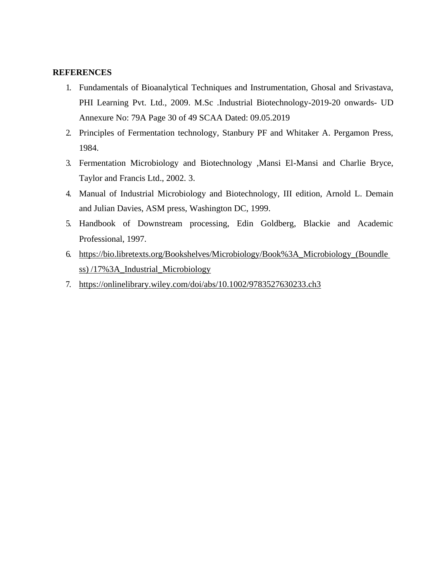- 1. Fundamentals of Bioanalytical Techniques and Instrumentation, Ghosal and Srivastava, PHI Learning Pvt. Ltd., 2009. M.Sc .Industrial Biotechnology-2019-20 onwards- UD Annexure No: 79A Page 30 of 49 SCAA Dated: 09.05.2019
- 2. Principles of Fermentation technology, Stanbury PF and Whitaker A. Pergamon Press, 1984.
- 3. Fermentation Microbiology and Biotechnology ,Mansi El-Mansi and Charlie Bryce, Taylor and Francis Ltd., 2002. 3.
- 4. Manual of Industrial Microbiology and Biotechnology, III edition, Arnold L. Demain and Julian Davies, ASM press, Washington DC, 1999.
- 5. Handbook of Downstream processing, Edin Goldberg, Blackie and Academic Professional, 1997.
- 6. [https://bio.libretexts.org/Bookshelves/Microbiology/Book%3A\\_Microbiology\\_\(Boundle](https://bio.libretexts.org/Bookshelves/Microbiology/Book%3A_Microbiology_(Boundless)) [ss\)](https://bio.libretexts.org/Bookshelves/Microbiology/Book%3A_Microbiology_(Boundless)) /17%3A\_Industrial\_Microbiology
- 7. <https://onlinelibrary.wiley.com/doi/abs/10.1002/9783527630233.ch3>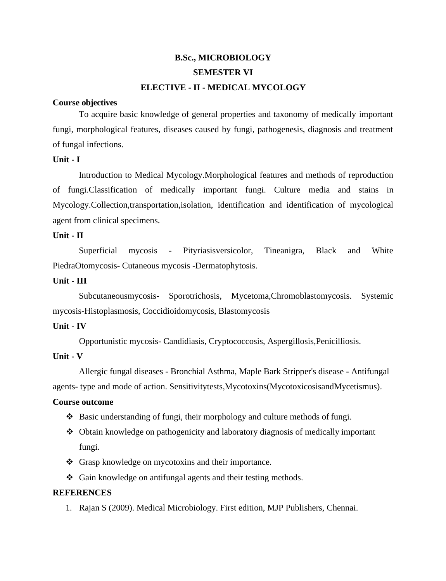# **B.Sc., MICROBIOLOGY SEMESTER VI ELECTIVE - II - MEDICAL MYCOLOGY**

#### **Course objectives**

To acquire basic knowledge of general properties and taxonomy of medically important fungi, morphological features, diseases caused by fungi, pathogenesis, diagnosis and treatment of fungal infections.

#### **Unit - I**

Introduction to Medical Mycology.Morphological features and methods of reproduction of fungi.Classification of medically important fungi. Culture media and stains in Mycology.Collection,transportation,isolation, identification and identification of mycological agent from clinical specimens.

#### **Unit - II**

Superficial mycosis - Pityriasisversicolor, Tineanigra, Black and White PiedraOtomycosis- Cutaneous mycosis -Dermatophytosis.

#### **Unit - III**

Subcutaneousmycosis- Sporotrichosis, Mycetoma,Chromoblastomycosis. Systemic mycosis-Histoplasmosis, Coccidioidomycosis, Blastomycosis

#### **Unit - IV**

Opportunistic mycosis- Candidiasis, Cryptococcosis, Aspergillosis,Penicilliosis.

#### **Unit - V**

Allergic fungal diseases - Bronchial Asthma, Maple Bark Stripper's disease - Antifungal agents- type and mode of action. Sensitivitytests,Mycotoxins(MycotoxicosisandMycetismus).

#### **Course outcome**

- ❖ Basic understanding of fungi, their morphology and culture methods of fungi.
- ❖ Obtain knowledge on pathogenicity and laboratory diagnosis of medically important fungi.
- ❖ Grasp knowledge on mycotoxins and their importance.
- ❖ Gain knowledge on antifungal agents and their testing methods.

#### **REFERENCES**

1. Rajan S (2009). Medical Microbiology. First edition, MJP Publishers, Chennai.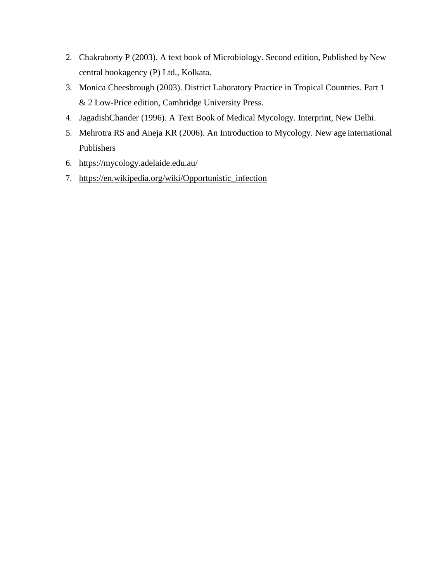- 2. Chakraborty P (2003). A text book of Microbiology. Second edition, Published by New central bookagency (P) Ltd., Kolkata.
- 3. Monica Cheesbrough (2003). District Laboratory Practice in Tropical Countries. Part 1 & 2 Low-Price edition, Cambridge University Press.
- 4. JagadishChander (1996). A Text Book of Medical Mycology. Interprint, New Delhi.
- 5. Mehrotra RS and Aneja KR (2006). An Introduction to Mycology. New age international Publishers
- 6. <https://mycology.adelaide.edu.au/>
- 7. [https://en.wikipedia.org/wiki/Opportunistic\\_infection](https://en.wikipedia.org/wiki/Opportunistic_infection)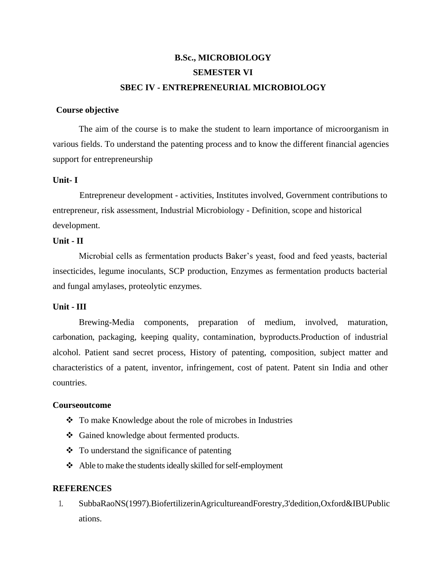# **B.Sc., MICROBIOLOGY SEMESTER VI SBEC IV - ENTREPRENEURIAL MICROBIOLOGY**

#### **Course objective**

The aim of the course is to make the student to learn importance of microorganism in various fields. To understand the patenting process and to know the different financial agencies support for entrepreneurship

#### **Unit- I**

Entrepreneur development - activities, Institutes involved, Government contributions to entrepreneur, risk assessment, Industrial Microbiology - Definition, scope and historical development.

#### **Unit - II**

Microbial cells as fermentation products Baker's yeast, food and feed yeasts, bacterial insecticides, legume inoculants, SCP production, Enzymes as fermentation products bacterial and fungal amylases, proteolytic enzymes.

#### **Unit - III**

Brewing-Media components, preparation of medium, involved, maturation, carbonation, packaging, keeping quality, contamination, byproducts.Production of industrial alcohol. Patient sand secret process, History of patenting, composition, subject matter and characteristics of a patent, inventor, infringement, cost of patent. Patent sin India and other countries.

#### **Courseoutcome**

- ❖ To make Knowledge about the role of microbes in Industries
- ❖ Gained knowledge about fermented products.
- ❖ To understand the significance of patenting
- ❖ Able to make the studentsideally skilled forself-employment

#### **REFERENCES**

1. SubbaRaoNS(1997).BiofertilizerinAgricultureandForestry,3'dedition,Oxford&IBUPublic ations.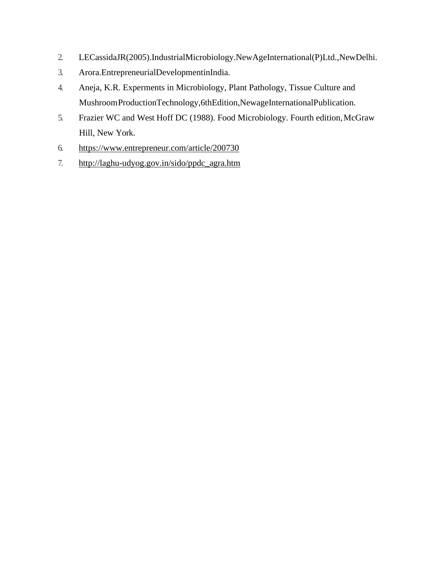- 2. LECassidaJR(2005).IndustrialMicrobiology.NewAgeInternational(P)Ltd.,NewDelhi.
- 3. Arora.EntrepreneurialDevelopmentinIndia.
- 4. Aneja, K.R. Experments in Microbiology, Plant Pathology, Tissue Culture and MushroomProductionTechnology,6thEdition,NewageInternationalPublication.
- 5. Frazier WC and West Hoff DC (1988). Food Microbiology. Fourth edition,McGraw Hill, New York.
- 6. <https://www.entrepreneur.com/article/200730>
- 7. [http://laghu-udyog.gov.in/sido/ppdc\\_agra.htm](http://laghu-udyog.gov.in/sido/ppdc_agra.htm)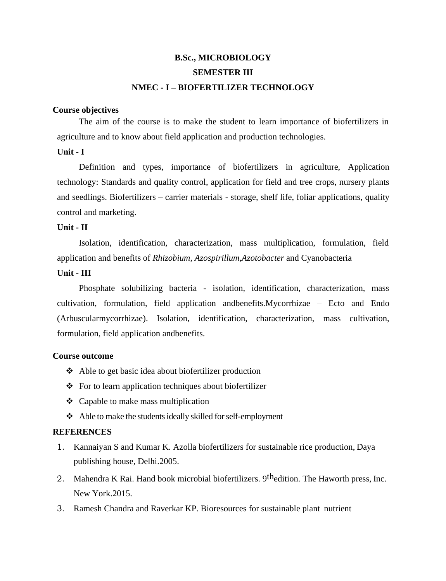# **B.Sc., MICROBIOLOGY SEMESTER III NMEC - I – BIOFERTILIZER TECHNOLOGY**

#### **Course objectives**

The aim of the course is to make the student to learn importance of biofertilizers in agriculture and to know about field application and production technologies.

#### **Unit - I**

Definition and types, importance of biofertilizers in agriculture, Application technology: Standards and quality control, application for field and tree crops, nursery plants and seedlings. Biofertilizers – carrier materials - storage, shelf life, foliar applications, quality control and marketing.

#### **Unit - II**

Isolation, identification, characterization, mass multiplication, formulation, field application and benefits of *Rhizobium*, *Azospirillum,Azotobacter* and Cyanobacteria

#### **Unit - III**

Phosphate solubilizing bacteria - isolation, identification, characterization, mass cultivation, formulation, field application andbenefits.Mycorrhizae – Ecto and Endo (Arbuscularmycorrhizae). Isolation, identification, characterization, mass cultivation, formulation, field application andbenefits.

#### **Course outcome**

- ❖ Able to get basic idea about biofertilizer production
- ❖ For to learn application techniques about biofertilizer
- ❖ Capable to make mass multiplication
- ❖ Able to make the studentsideally skilled forself-employment

- 1. Kannaiyan S and Kumar K. Azolla biofertilizers for sustainable rice production, Daya publishing house, Delhi.2005.
- 2. Mahendra K Rai. Hand book microbial biofertilizers. 9<sup>th</sup>edition. The Haworth press, Inc. New York.2015.
- 3. Ramesh Chandra and Raverkar KP. Bioresources for sustainable plant nutrient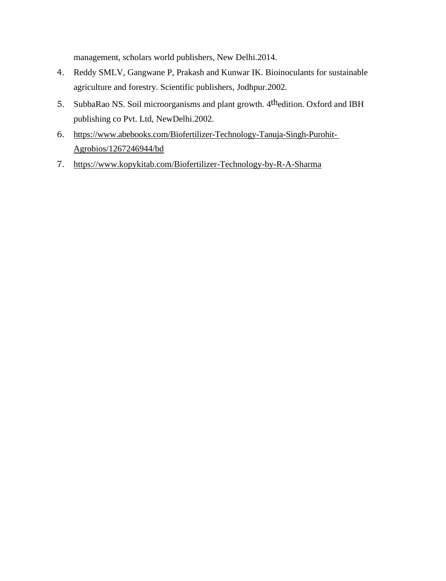management, scholars world publishers, New Delhi.2014.

- 4. Reddy SMLV, Gangwane P, Prakash and Kunwar IK. Bioinoculants for sustainable agriculture and forestry. Scientific publishers, Jodhpur.2002.
- 5. SubbaRao NS. Soil microorganisms and plant growth. 4thedition. Oxford and IBH publishing co Pvt. Ltd, NewDelhi.2002.
- 6. [https://www.abebooks.com/Biofertilizer-Technology-Tanuja-Singh-Purohit-](https://www.abebooks.com/Biofertilizer-Technology-Tanuja-Singh-Purohit-Agrobios/1267246944/bd)[Agrobios/1267246944/bd](https://www.abebooks.com/Biofertilizer-Technology-Tanuja-Singh-Purohit-Agrobios/1267246944/bd)
- 7. <https://www.kopykitab.com/Biofertilizer-Technology-by-R-A-Sharma>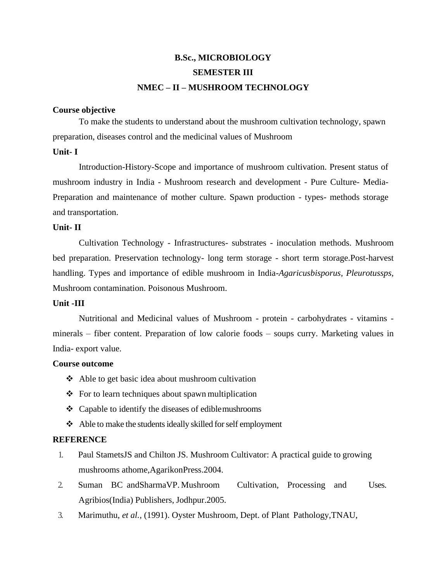# **B.Sc., MICROBIOLOGY SEMESTER III NMEC – II – MUSHROOM TECHNOLOGY**

#### **Course objective**

To make the students to understand about the mushroom cultivation technology, spawn preparation, diseases control and the medicinal values of Mushroom

#### **Unit- I**

Introduction-History-Scope and importance of mushroom cultivation. Present status of mushroom industry in India - Mushroom research and development - Pure Culture- Media-Preparation and maintenance of mother culture. Spawn production - types- methods storage and transportation.

#### **Unit- II**

Cultivation Technology - Infrastructures- substrates - inoculation methods. Mushroom bed preparation. Preservation technology- long term storage - short term storage.Post-harvest handling. Types and importance of edible mushroom in India*-Agaricusbisporus, Pleurotussps,*  Mushroom contamination. Poisonous Mushroom.

#### **Unit -III**

Nutritional and Medicinal values of Mushroom - protein - carbohydrates - vitamins minerals – fiber content. Preparation of low calorie foods – soups curry. Marketing values in India- export value.

#### **Course outcome**

- ❖ Able to get basic idea about mushroom cultivation
- ❖ For to learn techniques about spawn multiplication
- ❖ Capable to identify the diseases of ediblemushrooms
- ❖ Able to make the studentsideally skilled forself employment

- 1. Paul StametsJS and Chilton JS. Mushroom Cultivator: A practical guide to growing mushrooms athome,AgarikonPress.2004.
- 2. Suman BC andSharmaVP. Mushroom Cultivation, Processing and Uses. Agribios(India) Publishers, Jodhpur.2005.
- 3. Marimuthu, *et al.,* (1991). Oyster Mushroom, Dept. of Plant Pathology,TNAU,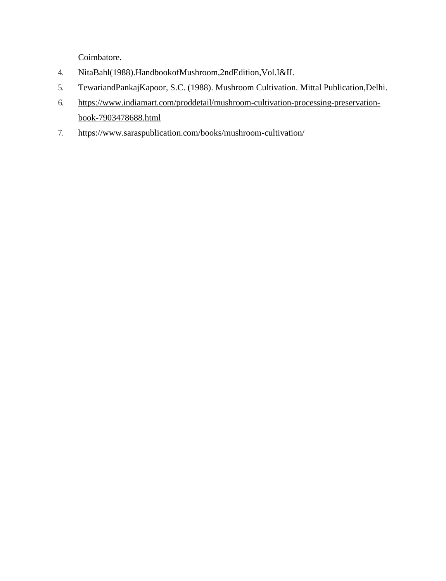Coimbatore.

- 4. NitaBahl(1988).HandbookofMushroom,2ndEdition,Vol.I&II.
- 5. TewariandPankajKapoor, S.C. (1988). Mushroom Cultivation. Mittal Publication,Delhi.
- 6. [https://www.indiamart.com/proddetail/mushroom-cultivation-processing-preservation](https://www.indiamart.com/proddetail/mushroom-cultivation-processing-preservation-book-7903478688.html)[book-7903478688.html](https://www.indiamart.com/proddetail/mushroom-cultivation-processing-preservation-book-7903478688.html)
- 7. <https://www.saraspublication.com/books/mushroom-cultivation/>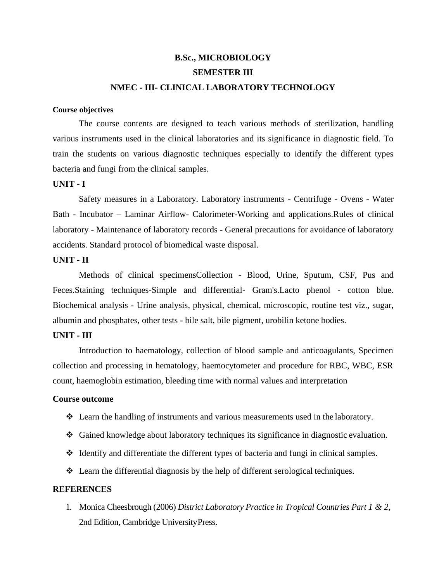# **B.Sc., MICROBIOLOGY SEMESTER III NMEC - III- CLINICAL LABORATORY TECHNOLOGY**

#### **Course objectives**

The course contents are designed to teach various methods of sterilization, handling various instruments used in the clinical laboratories and its significance in diagnostic field. To train the students on various diagnostic techniques especially to identify the different types bacteria and fungi from the clinical samples.

#### **UNIT - I**

Safety measures in a Laboratory. Laboratory instruments - Centrifuge - Ovens - Water Bath - Incubator – Laminar Airflow- Calorimeter-Working and applications.Rules of clinical laboratory - Maintenance of laboratory records - General precautions for avoidance of laboratory accidents. Standard protocol of biomedical waste disposal.

#### **UNIT - II**

Methods of clinical specimensCollection - Blood, Urine, Sputum, CSF, Pus and Feces.Staining techniques-Simple and differential- Gram's.Lacto phenol - cotton blue. Biochemical analysis - Urine analysis, physical, chemical, microscopic, routine test viz., sugar, albumin and phosphates, other tests - bile salt, bile pigment, urobilin ketone bodies.

#### **UNIT - III**

Introduction to haematology, collection of blood sample and anticoagulants, Specimen collection and processing in hematology, haemocytometer and procedure for RBC, WBC, ESR count, haemoglobin estimation, bleeding time with normal values and interpretation

#### **Course outcome**

- ❖ Learn the handling of instruments and various measurements used in the laboratory.
- ❖ Gained knowledge about laboratory techniques its significance in diagnostic evaluation.
- ❖ Identify and differentiate the different types of bacteria and fungi in clinical samples.
- ❖ Learn the differential diagnosis by the help of different serological techniques.

#### **REFERENCES**

1. Monica Cheesbrough (2006) *District Laboratory Practice in Tropical Countries Part 1 & 2*, 2nd Edition, Cambridge UniversityPress.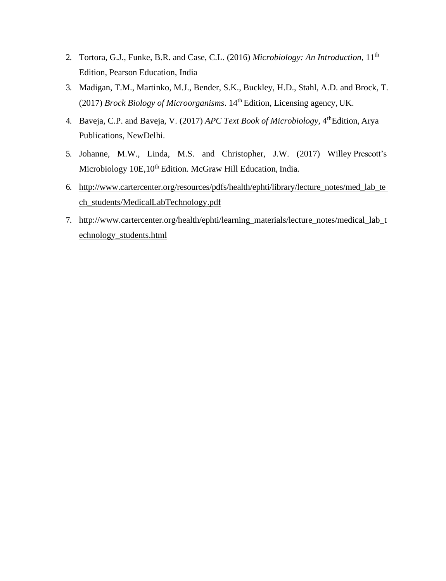- 2. Tortora, G.J., Funke, B.R. and Case, C.L. (2016) *Microbiology: An Introduction*, 11th Edition, Pearson Education, India
- 3. Madigan, T.M., Martinko, M.J., Bender, S.K., Buckley, H.D., Stahl, A.D. and Brock, T. (2017) *Brock Biology of Microorganisms*. 14th Edition, Licensing agency, UK.
- 4. [Baveja,](http://www.amazon.in/s/ref%3Ddp_byline_sr_book_1?ie=UTF8&amp%3Bfield-author=CP%2BBaveja&amp%3Bsearch-alias=stripbooks) C.P. and Baveja, V. (2017) *APC Text Book of Microbiology*, 4thEdition, Arya Publications, NewDelhi.
- 5. Johanne, M.W., Linda, M.S. and Christopher, J.W. (2017) Willey Prescott's Microbiology 10E,10<sup>th</sup> Edition. McGraw Hill Education, India.
- 6. [http://www.cartercenter.org/resources/pdfs/health/ephti/library/lecture\\_notes/med\\_lab\\_te](http://www.cartercenter.org/resources/pdfs/health/ephti/library/lecture_notes/med_lab_tech_students/MedicalLabTechnology.pdf) [ch\\_students/MedicalLabTechnology.pdf](http://www.cartercenter.org/resources/pdfs/health/ephti/library/lecture_notes/med_lab_tech_students/MedicalLabTechnology.pdf)
- 7. [http://www.cartercenter.org/health/ephti/learning\\_materials/lecture\\_notes/medical\\_lab\\_t](http://www.cartercenter.org/health/ephti/learning_materials/lecture_notes/medical_lab_technology_students.html) [echnology\\_students.html](http://www.cartercenter.org/health/ephti/learning_materials/lecture_notes/medical_lab_technology_students.html)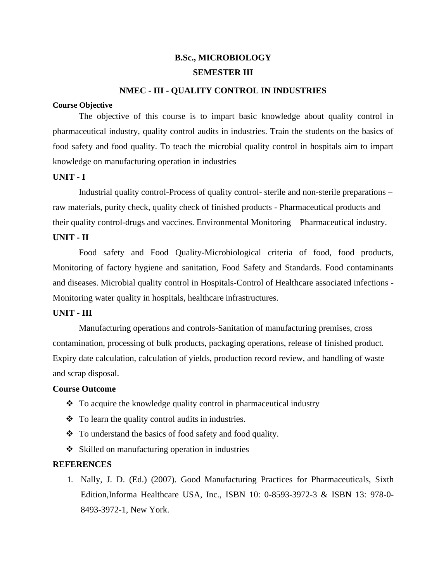# **B.Sc., MICROBIOLOGY SEMESTER III**

#### **NMEC - III - QUALITY CONTROL IN INDUSTRIES**

#### **Course Objective**

The objective of this course is to impart basic knowledge about quality control in pharmaceutical industry, quality control audits in industries. Train the students on the basics of food safety and food quality. To teach the microbial quality control in hospitals aim to impart knowledge on manufacturing operation in industries

#### **UNIT - I**

Industrial quality control-Process of quality control- sterile and non-sterile preparations – raw materials, purity check, quality check of finished products - Pharmaceutical products and their quality control-drugs and vaccines. Environmental Monitoring – Pharmaceutical industry.

## **UNIT - II**

Food safety and Food Quality-Microbiological criteria of food, food products, Monitoring of factory hygiene and sanitation, Food Safety and Standards. Food contaminants and diseases. Microbial quality control in Hospitals-Control of Healthcare associated infections - Monitoring water quality in hospitals, healthcare infrastructures.

#### **UNIT - III**

Manufacturing operations and controls-Sanitation of manufacturing premises, cross contamination, processing of bulk products, packaging operations, release of finished product. Expiry date calculation, calculation of yields, production record review, and handling of waste and scrap disposal.

#### **Course Outcome**

- ❖ To acquire the knowledge quality control in pharmaceutical industry
- ❖ To learn the quality control audits in industries.
- ❖ To understand the basics of food safety and food quality.
- ❖ Skilled on manufacturing operation in industries

#### **REFERENCES**

1. Nally, J. D. (Ed.) (2007). Good Manufacturing Practices for Pharmaceuticals, Sixth Edition,Informa Healthcare USA, Inc., ISBN 10: 0-8593-3972-3 & ISBN 13: 978-0- 8493-3972-1, New York.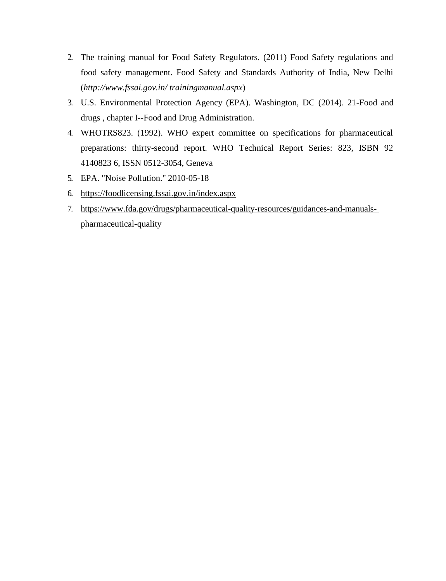- 2. The training manual for Food Safety Regulators. (2011) Food Safety regulations and food safety management. Food Safety and Standards Authority of India, New Delhi (*<http://www.fssai.gov.in/> trainingmanual.aspx*)
- 3. U.S. Environmental Protection Agency (EPA). Washington, DC (2014). 21-Food and drugs , chapter I--Food and Drug Administration.
- 4. WHOTRS823. (1992). WHO expert committee on specifications for pharmaceutical preparations: thirty-second report. WHO Technical Report Series: 823, ISBN 92 4140823 6, ISSN 0512-3054, Geneva
- 5. EPA. "Noise Pollution." 2010-05-18
- 6. <https://foodlicensing.fssai.gov.in/index.aspx>
- 7. [https://www.fda.gov/drugs/pharmaceutical-quality-resources/guidances-and-manuals](https://www.fda.gov/drugs/pharmaceutical-quality-resources/guidances-and-manuals-pharmaceutical-quality)[pharmaceutical-quality](https://www.fda.gov/drugs/pharmaceutical-quality-resources/guidances-and-manuals-pharmaceutical-quality)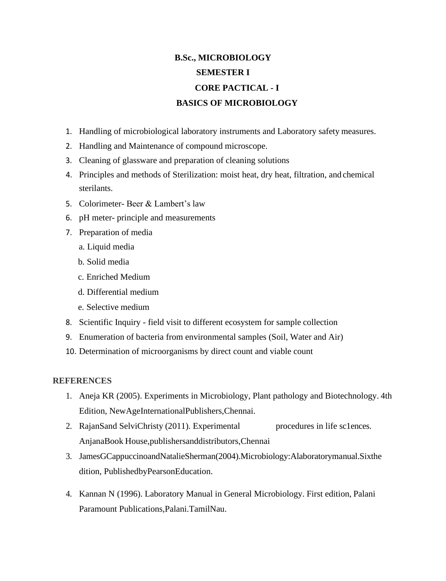# **B.Sc., MICROBIOLOGY SEMESTER I CORE PACTICAL - I BASICS OF MICROBIOLOGY**

- 1. Handling of microbiological laboratory instruments and Laboratory safety measures.
- 2. Handling and Maintenance of compound microscope.
- 3. Cleaning of glassware and preparation of cleaning solutions
- 4. Principles and methods of Sterilization: moist heat, dry heat, filtration, and chemical sterilants.
- 5. Colorimeter- Beer & Lambert's law
- 6. pH meter- principle and measurements
- 7. Preparation of media
	- a. Liquid media
	- b. Solid media
	- c. Enriched Medium
	- d. Differential medium
	- e. Selective medium
- 8. Scientific Inquiry field visit to different ecosystem for sample collection
- 9. Enumeration of bacteria from environmental samples (Soil, Water and Air)
- 10. Determination of microorganisms by direct count and viable count

- 1. Aneja KR (2005). Experiments in Microbiology, Plant pathology and Biotechnology. 4th Edition, NewAgeInternationalPublishers,Chennai.
- 2. RajanSand SelviChristy (2011). Experimental procedures in life sc1ences. AnjanaBook House,publishersanddistributors,Chennai
- 3. JamesGCappuccinoandNatalieSherman(2004).Microbiology:Alaboratorymanual.Sixthe dition, PublishedbyPearsonEducation.
- 4. Kannan N (1996). Laboratory Manual in General Microbiology. First edition, Palani Paramount Publications,Palani.TamilNau.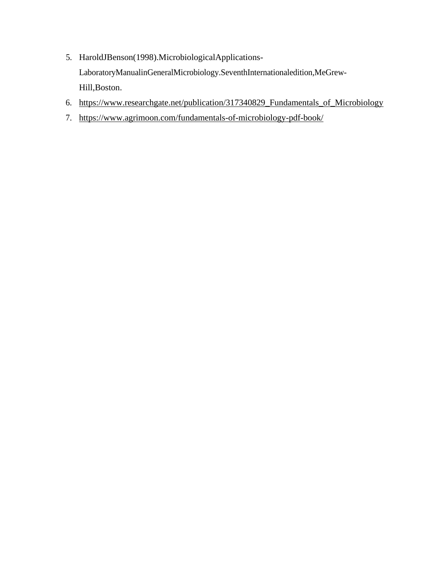- 5. HaroldJBenson(1998).MicrobiologicalApplications-LaboratoryManualinGeneralMicrobiology.SeventhInternationaledition,MeGrew-Hill,Boston.
- 6. [https://www.researchgate.net/publication/317340829\\_Fundamentals\\_of\\_Microbiology](https://www.researchgate.net/publication/317340829_Fundamentals_of_Microbiology)
- 7. <https://www.agrimoon.com/fundamentals-of-microbiology-pdf-book/>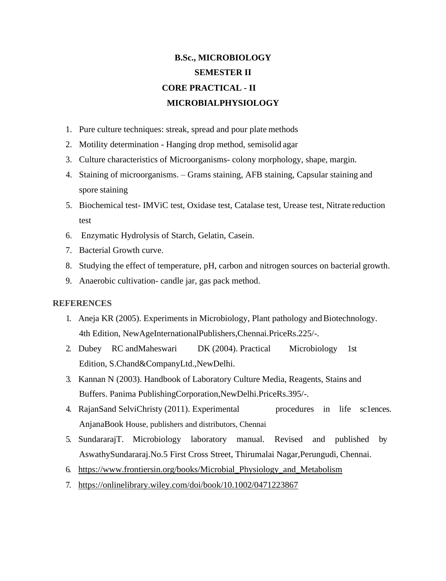# **B.Sc., MICROBIOLOGY SEMESTER II CORE PRACTICAL - II MICROBIALPHYSIOLOGY**

- 1. Pure culture techniques: streak, spread and pour plate methods
- 2. Motility determination Hanging drop method, semisolid agar
- 3. Culture characteristics of Microorganisms- colony morphology, shape, margin.
- 4. Staining of microorganisms. Grams staining, AFB staining, Capsular staining and spore staining
- 5. Biochemical test- IMViC test, Oxidase test, Catalase test, Urease test, Nitrate reduction test
- 6. Enzymatic Hydrolysis of Starch, Gelatin, Casein.
- 7. Bacterial Growth curve.
- 8. Studying the effect of temperature, pH, carbon and nitrogen sources on bacterial growth.
- 9. Anaerobic cultivation- candle jar, gas pack method.

- 1. Aneja KR (2005). Experiments in Microbiology, Plant pathology and Biotechnology. 4th Edition, NewAgeInternationalPublishers,Chennai.PriceRs.225/-.
- 2. Dubey RC andMaheswari DK (2004). Practical Microbiology 1st Edition, S.Chand&CompanyLtd.,NewDelhi.
- 3. Kannan N (2003). Handbook of Laboratory Culture Media, Reagents, Stains and Buffers. Panima PublishingCorporation,NewDelhi.PriceRs.395/-.
- 4. RajanSand SelviChristy (2011). Experimental procedures in life sc1ences. AnjanaBook House, publishers and distributors, Chennai
- 5. SundararajT. Microbiology laboratory manual. Revised and published by AswathySundararaj.No.5 First Cross Street, Thirumalai Nagar,Perungudi, Chennai.
- 6. [https://www.frontiersin.org/books/Microbial\\_Physiology\\_and\\_Metabolism](https://www.frontiersin.org/books/Microbial_Physiology_and_Metabolism)
- 7. <https://onlinelibrary.wiley.com/doi/book/10.1002/0471223867>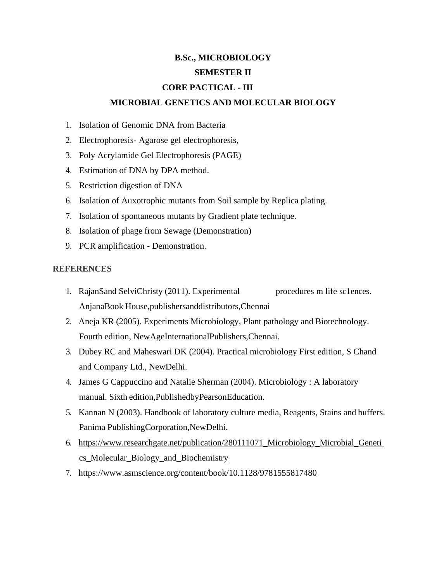# **B.Sc., MICROBIOLOGY SEMESTER II CORE PACTICAL - III MICROBIAL GENETICS AND MOLECULAR BIOLOGY**

- 1. Isolation of Genomic DNA from Bacteria
- 2. Electrophoresis- Agarose gel electrophoresis,
- 3. Poly Acrylamide Gel Electrophoresis (PAGE)
- 4. Estimation of DNA by DPA method.
- 5. Restriction digestion of DNA
- 6. Isolation of Auxotrophic mutants from Soil sample by Replica plating.
- 7. Isolation of spontaneous mutants by Gradient plate technique.
- 8. Isolation of phage from Sewage (Demonstration)
- 9. PCR amplification Demonstration.

- 1. RajanSand SelviChristy (2011). Experimental procedures m life sc1ences. AnjanaBook House,publishersanddistributors,Chennai
- 2. Aneja KR (2005). Experiments Microbiology, Plant pathology and Biotechnology. Fourth edition, NewAgeInternationalPublishers,Chennai.
- 3. Dubey RC and Maheswari DK (2004). Practical microbiology First edition, S Chand and Company Ltd., NewDelhi.
- 4. James G Cappuccino and Natalie Sherman (2004). Microbiology : A laboratory manual. Sixth edition,PublishedbyPearsonEducation.
- 5. Kannan N (2003). Handbook of laboratory culture media, Reagents, Stains and buffers. Panima PublishingCorporation,NewDelhi.
- 6. [https://www.researchgate.net/publication/280111071\\_Microbiology\\_Microbial\\_Geneti](https://www.researchgate.net/publication/280111071_Microbiology_Microbial_Genetics_Molecular_Biology_and_Biochemistry) [cs\\_Molecular\\_Biology\\_and\\_Biochemistry](https://www.researchgate.net/publication/280111071_Microbiology_Microbial_Genetics_Molecular_Biology_and_Biochemistry)
- 7. <https://www.asmscience.org/content/book/10.1128/9781555817480>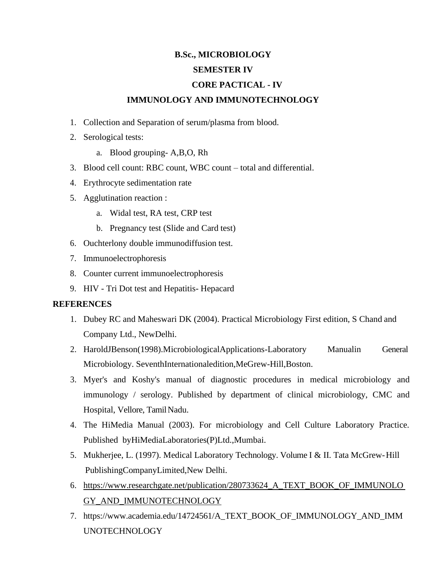### **B.Sc., MICROBIOLOGY**

### **SEMESTER IV**

# **CORE PACTICAL - IV**

### **IMMUNOLOGY AND IMMUNOTECHNOLOGY**

- 1. Collection and Separation of serum/plasma from blood.
- 2. Serological tests:
	- a. Blood grouping- A,B,O, Rh
- 3. Blood cell count: RBC count, WBC count total and differential.
- 4. Erythrocyte sedimentation rate
- 5. Agglutination reaction :
	- a. Widal test, RA test, CRP test
	- b. Pregnancy test (Slide and Card test)
- 6. Ouchterlony double immunodiffusion test.
- 7. Immunoelectrophoresis
- 8. Counter current immunoelectrophoresis
- 9. HIV Tri Dot test and Hepatitis- Hepacard

- 1. Dubey RC and Maheswari DK (2004). Practical Microbiology First edition, S Chand and Company Ltd., NewDelhi.
- 2. HaroldJBenson(1998).MicrobiologicalApplications-Laboratory Manualin General Microbiology. SeventhInternationaledition,MeGrew-Hill,Boston.
- 3. Myer's and Koshy's manual of diagnostic procedures in medical microbiology and immunology / serology. Published by department of clinical microbiology, CMC and Hospital, Vellore, Tamil Nadu.
- 4. The HiMedia Manual (2003). For microbiology and Cell Culture Laboratory Practice. Published byHiMediaLaboratories(P)Ltd.,Mumbai.
- 5. Mukherjee, L. (1997). Medical Laboratory Technology. Volume I & II. Tata McGrew-Hill PublishingCompanyLimited,New Delhi.
- 6. [https://www.researchgate.net/publication/280733624\\_A\\_TEXT\\_BOOK\\_OF\\_IMMUNOLO](https://www.researchgate.net/publication/280733624_A_TEXT_BOOK_OF_IMMUNOLOGY_AND_IMMUNOTECHNOLOGY) [GY\\_AND\\_IMMUNOTECHNOLOGY](https://www.researchgate.net/publication/280733624_A_TEXT_BOOK_OF_IMMUNOLOGY_AND_IMMUNOTECHNOLOGY)
- 7. h[ttps://www.academia.edu/14724561/A\\_TEXT\\_BOOK\\_OF\\_IMMUNOLOGY\\_AND\\_IMM](http://www.academia.edu/14724561/A_TEXT_BOOK_OF_IMMUNOLOGY_AND_IMM) UNOTECHNOLOGY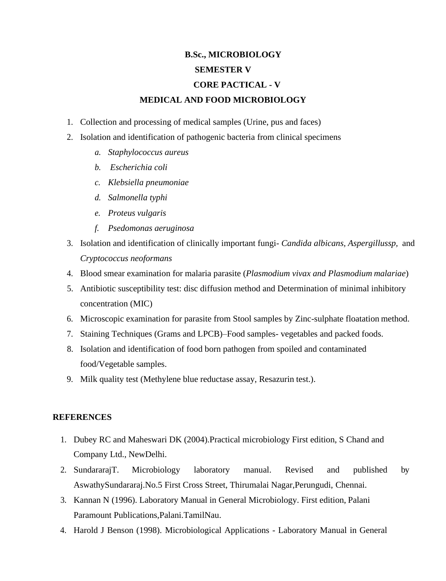# **B.Sc., MICROBIOLOGY SEMESTER V CORE PACTICAL - V MEDICAL AND FOOD MICROBIOLOGY**

- 1. Collection and processing of medical samples (Urine, pus and faces)
- 2. Isolation and identification of pathogenic bacteria from clinical specimens
	- *a. Staphylococcus aureus*
	- *b. Escherichia coli*
	- *c. Klebsiella pneumoniae*
	- *d. Salmonella typhi*
	- *e. Proteus vulgaris*
	- *f. Psedomonas aeruginosa*
- 3. Isolation and identification of clinically important fungi- *Candida albicans, Aspergillussp,* and *Cryptococcus neoformans*
- 4. Blood smear examination for malaria parasite (*Plasmodium vivax and Plasmodium malariae*)
- 5. Antibiotic susceptibility test: disc diffusion method and Determination of minimal inhibitory concentration (MIC)
- 6. Microscopic examination for parasite from Stool samples by Zinc-sulphate floatation method.
- 7. Staining Techniques (Grams and LPCB)–Food samples- vegetables and packed foods.
- 8. Isolation and identification of food born pathogen from spoiled and contaminated food/Vegetable samples.
- 9. Milk quality test (Methylene blue reductase assay, Resazurin test.).

- 1. Dubey RC and Maheswari DK (2004).Practical microbiology First edition, S Chand and Company Ltd., NewDelhi.
- 2. SundararajT. Microbiology laboratory manual. Revised and published by AswathySundararaj.No.5 First Cross Street, Thirumalai Nagar,Perungudi, Chennai.
- 3. Kannan N (1996). Laboratory Manual in General Microbiology. First edition, Palani Paramount Publications,Palani.TamilNau.
- 4. Harold J Benson (1998). Microbiological Applications Laboratory Manual in General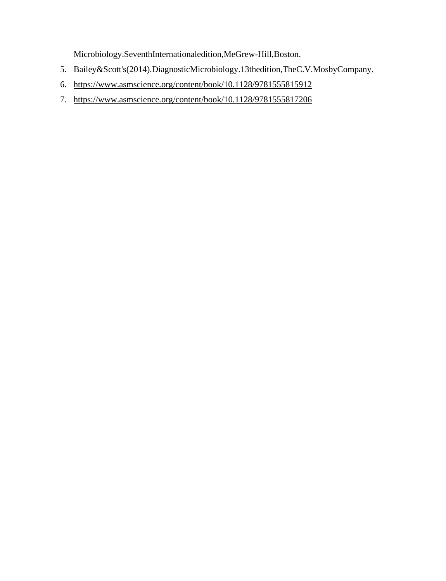Microbiology.SeventhInternationaledition,MeGrew-Hill,Boston.

- 5. Bailey&Scott's(2014).DiagnosticMicrobiology.13thedition,TheC.V.MosbyCompany.
- 6. <https://www.asmscience.org/content/book/10.1128/9781555815912>
- 7. <https://www.asmscience.org/content/book/10.1128/9781555817206>